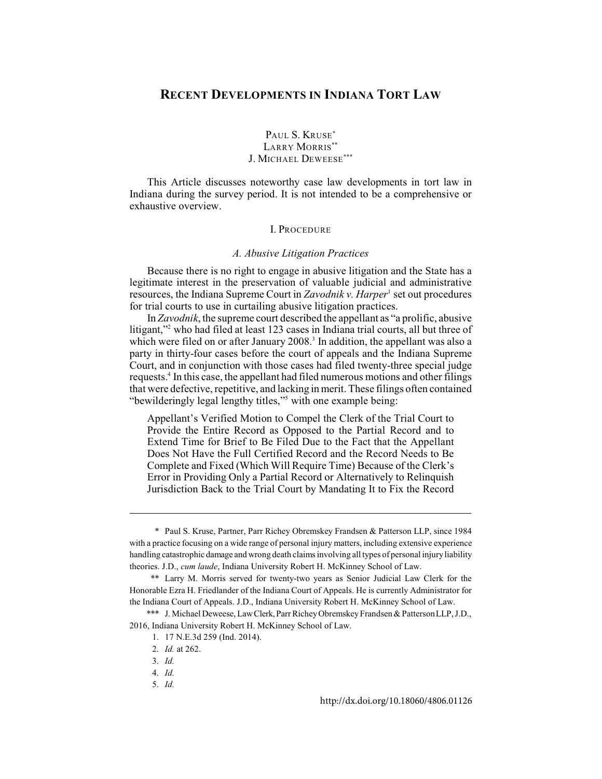# **RECENT DEVELOPMENTS IN INDIANA TORT LAW**

# PAUL S. KRUSE<sup>\*</sup> LARRY MORRIS\*\* J. MICHAEL DEWEESE\*\*\*

This Article discusses noteworthy case law developments in tort law in Indiana during the survey period. It is not intended to be a comprehensive or exhaustive overview.

## I. PROCEDURE

#### *A. Abusive Litigation Practices*

Because there is no right to engage in abusive litigation and the State has a legitimate interest in the preservation of valuable judicial and administrative resources, the Indiana Supreme Court in *Zavodnik v. Harper*<sup>1</sup> set out procedures for trial courts to use in curtailing abusive litigation practices.

In *Zavodnik*, the supreme court described the appellant as "a prolific, abusive litigant," who had filed at least 123 cases in Indiana trial courts, all but three of which were filed on or after January 2008.<sup>3</sup> In addition, the appellant was also a party in thirty-four cases before the court of appeals and the Indiana Supreme Court, and in conjunction with those cases had filed twenty-three special judge requests.<sup>4</sup> In this case, the appellant had filed numerous motions and other filings that were defective, repetitive, and lacking in merit. These filings often contained "bewilderingly legal lengthy titles," with one example being:

Appellant's Verified Motion to Compel the Clerk of the Trial Court to Provide the Entire Record as Opposed to the Partial Record and to Extend Time for Brief to Be Filed Due to the Fact that the Appellant Does Not Have the Full Certified Record and the Record Needs to Be Complete and Fixed (Which Will Require Time) Because of the Clerk's Error in Providing Only a Partial Record or Alternatively to Relinquish Jurisdiction Back to the Trial Court by Mandating It to Fix the Record

<sup>\*</sup> Paul S. Kruse, Partner, Parr Richey Obremskey Frandsen & Patterson LLP, since 1984 with a practice focusing on a wide range of personal injury matters, including extensive experience handling catastrophic damage and wrong death claims involving all types of personal injury liability theories. J.D., *cum laude*, Indiana University Robert H. McKinney School of Law.

<sup>\*\*</sup> Larry M. Morris served for twenty-two years as Senior Judicial Law Clerk for the Honorable Ezra H. Friedlander of the Indiana Court of Appeals. He is currently Administrator for the Indiana Court of Appeals. J.D., Indiana University Robert H. McKinney School of Law.

<sup>\*\*\*</sup> J. Michael Deweese, Law Clerk, Parr Richey Obremskey Frandsen & PattersonLLP, J.D., 2016, Indiana University Robert H. McKinney School of Law.

<sup>1. 17</sup> N.E.3d 259 (Ind. 2014).

<sup>2.</sup> *Id.* at 262.

<sup>3.</sup> *Id.*

<sup>4.</sup> *Id.*

<sup>5.</sup> *Id.*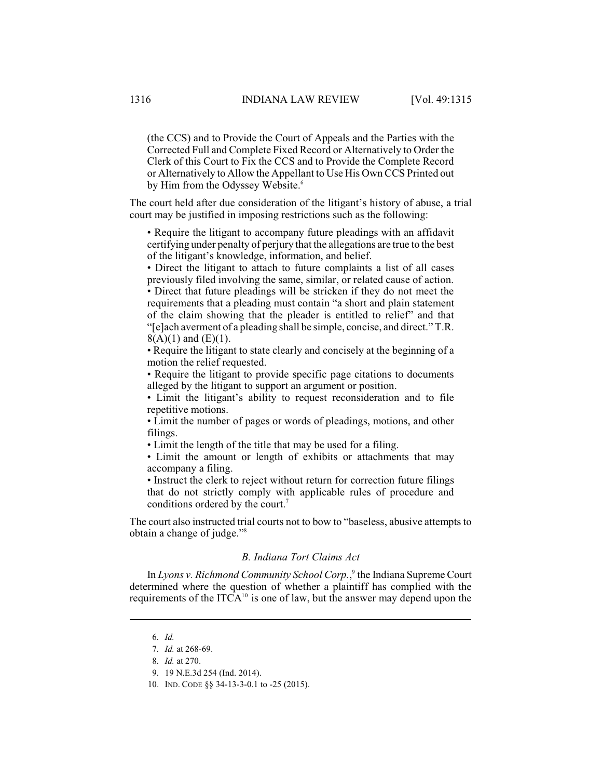(the CCS) and to Provide the Court of Appeals and the Parties with the Corrected Full and Complete Fixed Record or Alternatively to Order the Clerk of this Court to Fix the CCS and to Provide the Complete Record or Alternatively to Allow the Appellant to Use His Own CCS Printed out by Him from the Odyssey Website.<sup>6</sup>

The court held after due consideration of the litigant's history of abuse, a trial court may be justified in imposing restrictions such as the following:

• Require the litigant to accompany future pleadings with an affidavit certifying under penalty of perjury that the allegations are true to the best of the litigant's knowledge, information, and belief.

• Direct the litigant to attach to future complaints a list of all cases previously filed involving the same, similar, or related cause of action. • Direct that future pleadings will be stricken if they do not meet the requirements that a pleading must contain "a short and plain statement of the claim showing that the pleader is entitled to relief" and that "[e]ach averment of a pleading shall be simple, concise, and direct." T.R.

 $8(A)(1)$  and  $(E)(1)$ .

• Require the litigant to state clearly and concisely at the beginning of a motion the relief requested.

• Require the litigant to provide specific page citations to documents alleged by the litigant to support an argument or position.

• Limit the litigant's ability to request reconsideration and to file repetitive motions.

• Limit the number of pages or words of pleadings, motions, and other filings.

• Limit the length of the title that may be used for a filing.

• Limit the amount or length of exhibits or attachments that may accompany a filing.

• Instruct the clerk to reject without return for correction future filings that do not strictly comply with applicable rules of procedure and conditions ordered by the court.<sup>7</sup>

The court also instructed trial courts not to bow to "baseless, abusive attempts to obtain a change of judge."<sup>8</sup>

## *B. Indiana Tort Claims Act*

In *Lyons v. Richmond Community School Corp.*,<sup>9</sup> the Indiana Supreme Court determined where the question of whether a plaintiff has complied with the requirements of the  $ITCA<sup>10</sup>$  is one of law, but the answer may depend upon the

<sup>6.</sup> *Id.*

<sup>7.</sup> *Id.* at 268-69.

<sup>8.</sup> *Id.* at 270.

<sup>9.</sup> 19 N.E.3d 254 (Ind. 2014).

<sup>10.</sup> IND. CODE §§ 34-13-3-0.1 to -25 (2015).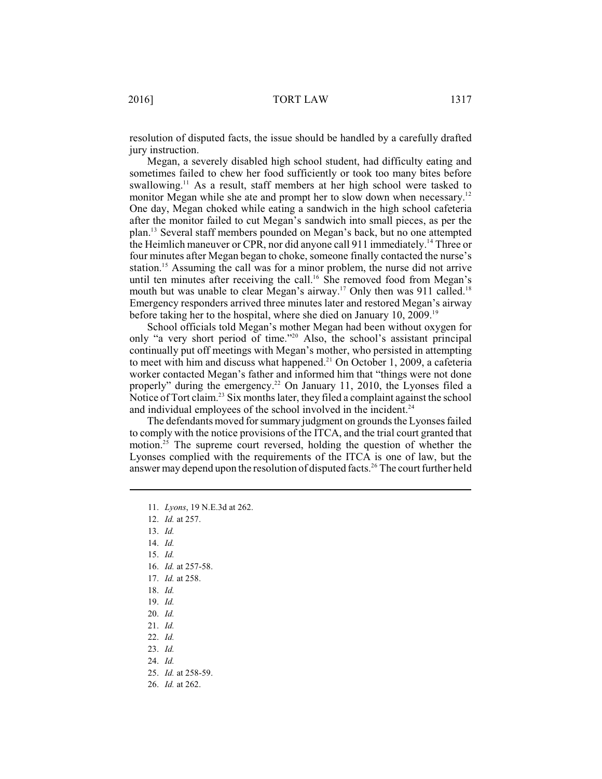resolution of disputed facts, the issue should be handled by a carefully drafted jury instruction.

Megan, a severely disabled high school student, had difficulty eating and sometimes failed to chew her food sufficiently or took too many bites before swallowing.<sup>11</sup> As a result, staff members at her high school were tasked to monitor Megan while she ate and prompt her to slow down when necessary.<sup>12</sup> One day, Megan choked while eating a sandwich in the high school cafeteria after the monitor failed to cut Megan's sandwich into small pieces, as per the plan.<sup>13</sup> Several staff members pounded on Megan's back, but no one attempted the Heimlich maneuver or CPR, nor did anyone call 911 immediately.<sup>14</sup> Three or four minutes after Megan began to choke, someone finally contacted the nurse's station.<sup>15</sup> Assuming the call was for a minor problem, the nurse did not arrive until ten minutes after receiving the call.<sup>16</sup> She removed food from Megan's mouth but was unable to clear Megan's airway.<sup>17</sup> Only then was 911 called.<sup>18</sup> Emergency responders arrived three minutes later and restored Megan's airway before taking her to the hospital, where she died on January 10, 2009.<sup>19</sup>

School officials told Megan's mother Megan had been without oxygen for only "a very short period of time."<sup>20</sup> Also, the school's assistant principal continually put off meetings with Megan's mother, who persisted in attempting to meet with him and discuss what happened.<sup>21</sup> On October 1, 2009, a cafeteria worker contacted Megan's father and informed him that "things were not done properly" during the emergency.<sup>22</sup> On January 11, 2010, the Lyonses filed a Notice of Tort claim.<sup>23</sup> Six months later, they filed a complaint against the school and individual employees of the school involved in the incident. $24$ 

The defendants moved for summary judgment on grounds the Lyonses failed to comply with the notice provisions of the ITCA, and the trial court granted that motion.<sup>25</sup> The supreme court reversed, holding the question of whether the Lyonses complied with the requirements of the ITCA is one of law, but the answer may depend upon the resolution of disputed facts.<sup>26</sup> The court further held

- 14. *Id.*
- 15. *Id.*
- 16. *Id.* at 257-58.
- 17. *Id.* at 258.
- 18. *Id.*
- 19. *Id.*
- 20. *Id.*
- 21. *Id.*
- 22. *Id.*
- 23. *Id.*
- 24. *Id.*

26. *Id.* at 262.

<sup>11.</sup> *Lyons*, 19 N.E.3d at 262.

<sup>12.</sup> *Id.* at 257.

<sup>13.</sup> *Id.*

<sup>25.</sup> *Id.* at 258-59.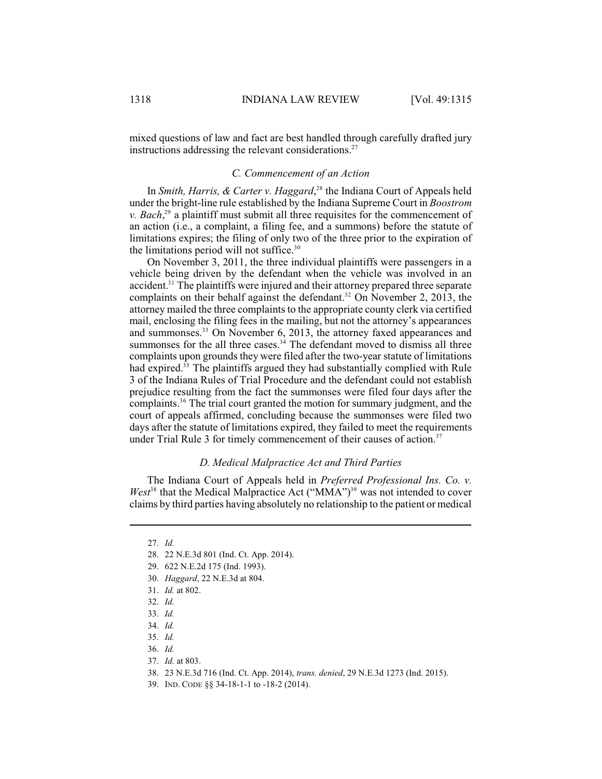mixed questions of law and fact are best handled through carefully drafted jury instructions addressing the relevant considerations.<sup>27</sup>

## *C. Commencement of an Action*

In *Smith, Harris, & Carter v. Haggard*,<sup>28</sup> the Indiana Court of Appeals held under the bright-line rule established by the Indiana Supreme Court in *Boostrom v. Bach*<sup>29</sup> a plaintiff must submit all three requisites for the commencement of an action (i.e., a complaint, a filing fee, and a summons) before the statute of limitations expires; the filing of only two of the three prior to the expiration of the limitations period will not suffice. $30$ 

On November 3, 2011, the three individual plaintiffs were passengers in a vehicle being driven by the defendant when the vehicle was involved in an accident.<sup>31</sup> The plaintiffs were injured and their attorney prepared three separate complaints on their behalf against the defendant.<sup>32</sup> On November 2, 2013, the attorney mailed the three complaints to the appropriate county clerk via certified mail, enclosing the filing fees in the mailing, but not the attorney's appearances and summonses.<sup>33</sup> On November 6, 2013, the attorney faxed appearances and summonses for the all three cases. $34$  The defendant moved to dismiss all three complaints upon grounds they were filed after the two-year statute of limitations had expired.<sup>35</sup> The plaintiffs argued they had substantially complied with Rule 3 of the Indiana Rules of Trial Procedure and the defendant could not establish prejudice resulting from the fact the summonses were filed four days after the complaints.<sup>36</sup> The trial court granted the motion for summary judgment, and the court of appeals affirmed, concluding because the summonses were filed two days after the statute of limitations expired, they failed to meet the requirements under Trial Rule 3 for timely commencement of their causes of action.<sup>37</sup>

#### *D. Medical Malpractice Act and Third Parties*

The Indiana Court of Appeals held in *Preferred Professional Ins. Co. v.*  $West^{38}$  that the Medical Malpractice Act ("MMA")<sup>39</sup> was not intended to cover claims by third parties having absolutely no relationship to the patient or medical

- 32. *Id.*
- 33. *Id.*
- 34. *Id.*
- 35. *Id.*
- 36. *Id.*
- 37. *Id.* at 803.
- 38. 23 N.E.3d 716 (Ind. Ct. App. 2014), *trans. denied*, 29 N.E.3d 1273 (Ind. 2015).
- 39. IND. CODE §§ 34-18-1-1 to -18-2 (2014).

<sup>27.</sup> *Id.*

<sup>28.</sup> 22 N.E.3d 801 (Ind. Ct. App. 2014).

<sup>29.</sup> 622 N.E.2d 175 (Ind. 1993).

<sup>30.</sup> *Haggard*, 22 N.E.3d at 804.

<sup>31.</sup> *Id.* at 802.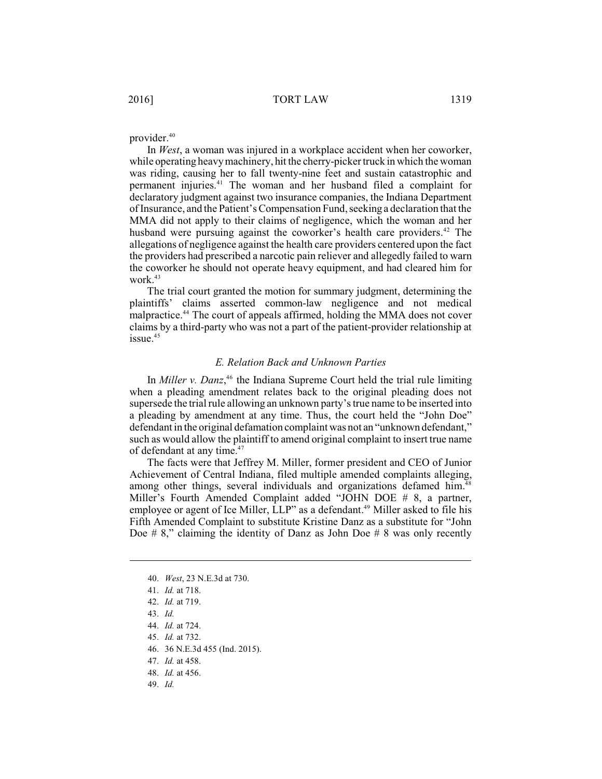provider. 40

In *West*, a woman was injured in a workplace accident when her coworker, while operating heavymachinery, hit the cherry-picker truck in which the woman was riding, causing her to fall twenty-nine feet and sustain catastrophic and permanent injuries.<sup>41</sup> The woman and her husband filed a complaint for declaratory judgment against two insurance companies, the Indiana Department of Insurance, and the Patient's Compensation Fund, seeking a declaration that the MMA did not apply to their claims of negligence, which the woman and her husband were pursuing against the coworker's health care providers.<sup>42</sup> The allegations of negligence against the health care providers centered upon the fact the providers had prescribed a narcotic pain reliever and allegedly failed to warn the coworker he should not operate heavy equipment, and had cleared him for work.<sup>43</sup>

The trial court granted the motion for summary judgment, determining the plaintiffs' claims asserted common-law negligence and not medical malpractice.<sup>44</sup> The court of appeals affirmed, holding the MMA does not cover claims by a third-party who was not a part of the patient-provider relationship at issue. 45

# *E. Relation Back and Unknown Parties*

In *Miller v. Danz*<sup>46</sup> the Indiana Supreme Court held the trial rule limiting when a pleading amendment relates back to the original pleading does not supersede the trial rule allowing an unknown party's true name to be inserted into a pleading by amendment at any time. Thus, the court held the "John Doe" defendant in the original defamation complaint was not an "unknown defendant," such as would allow the plaintiff to amend original complaint to insert true name of defendant at any time.<sup>47</sup>

The facts were that Jeffrey M. Miller, former president and CEO of Junior Achievement of Central Indiana, filed multiple amended complaints alleging, among other things, several individuals and organizations defamed him.<sup>48</sup> Miller's Fourth Amended Complaint added "JOHN DOE # 8, a partner, employee or agent of Ice Miller, LLP" as a defendant.<sup>49</sup> Miller asked to file his Fifth Amended Complaint to substitute Kristine Danz as a substitute for "John Doe  $\# 8$ ," claiming the identity of Danz as John Doe  $\# 8$  was only recently

- 42. *Id.* at 719.
- 43. *Id.*
- 44. *Id.* at 724.
- 45. *Id.* at 732.
- 46. 36 N.E.3d 455 (Ind. 2015).
- 47. *Id.* at 458.
- 48. *Id.* at 456.
- 49. *Id.*

<sup>40.</sup> *West*, 23 N.E.3d at 730.

<sup>41.</sup> *Id.* at 718.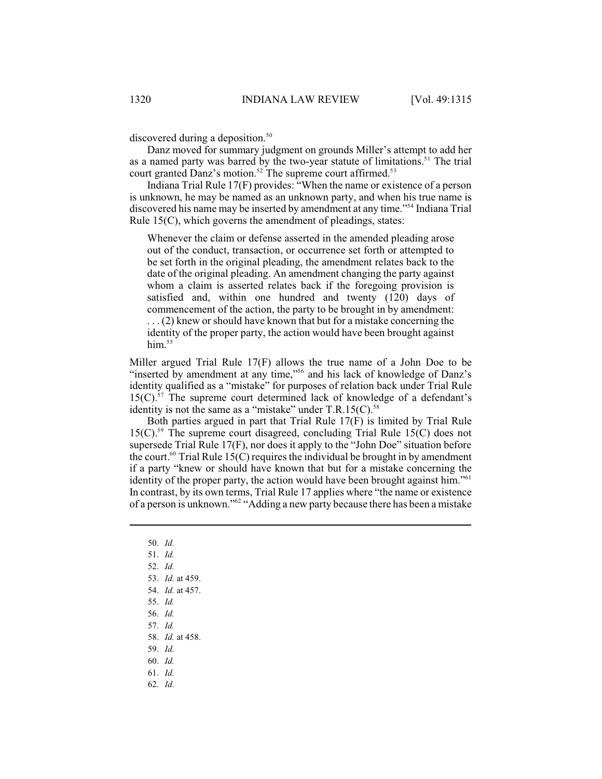discovered during a deposition.<sup>50</sup>

Danz moved for summary judgment on grounds Miller's attempt to add her as a named party was barred by the two-year statute of limitations.<sup>51</sup> The trial court granted Danz's motion.<sup>52</sup> The supreme court affirmed.<sup>53</sup>

Indiana Trial Rule 17(F) provides: "When the name or existence of a person is unknown, he may be named as an unknown party, and when his true name is discovered his name may be inserted by amendment at any time."<sup>54</sup> Indiana Trial Rule 15(C), which governs the amendment of pleadings, states:

Whenever the claim or defense asserted in the amended pleading arose out of the conduct, transaction, or occurrence set forth or attempted to be set forth in the original pleading, the amendment relates back to the date of the original pleading. An amendment changing the party against whom a claim is asserted relates back if the foregoing provision is satisfied and, within one hundred and twenty (120) days of commencement of the action, the party to be brought in by amendment: . . . (2) knew or should have known that but for a mistake concerning the identity of the proper party, the action would have been brought against him. $55$ 

Miller argued Trial Rule 17(F) allows the true name of a John Doe to be "inserted by amendment at any time,"<sup>56</sup> and his lack of knowledge of Danz's identity qualified as a "mistake" for purposes of relation back under Trial Rule  $15(C)$ .<sup>57</sup> The supreme court determined lack of knowledge of a defendant's identity is not the same as a "mistake" under  $T.R.15(C)$ <sup>58</sup>

Both parties argued in part that Trial Rule 17(F) is limited by Trial Rule  $15(C)$ .<sup>59</sup> The supreme court disagreed, concluding Trial Rule 15(C) does not supersede Trial Rule 17(F), nor does it apply to the "John Doe" situation before the court.<sup>60</sup> Trial Rule 15(C) requires the individual be brought in by amendment if a party "knew or should have known that but for a mistake concerning the identity of the proper party, the action would have been brought against him."<sup>61</sup> In contrast, by its own terms, Trial Rule 17 applies where "the name or existence of a person is unknown."<sup>62</sup> "Adding a new party because there has been a mistake

- 50. *Id.*
- 51. *Id.*
- 52. *Id.*
- 53. *Id.* at 459.
- 54. *Id.* at 457.
- 55. *Id.*
- 56. *Id.*
- 57. *Id.*
- 58. *Id.* at 458.
- 59. *Id.*
- 60. *Id.*
- 61. *Id.*
- 62. *Id.*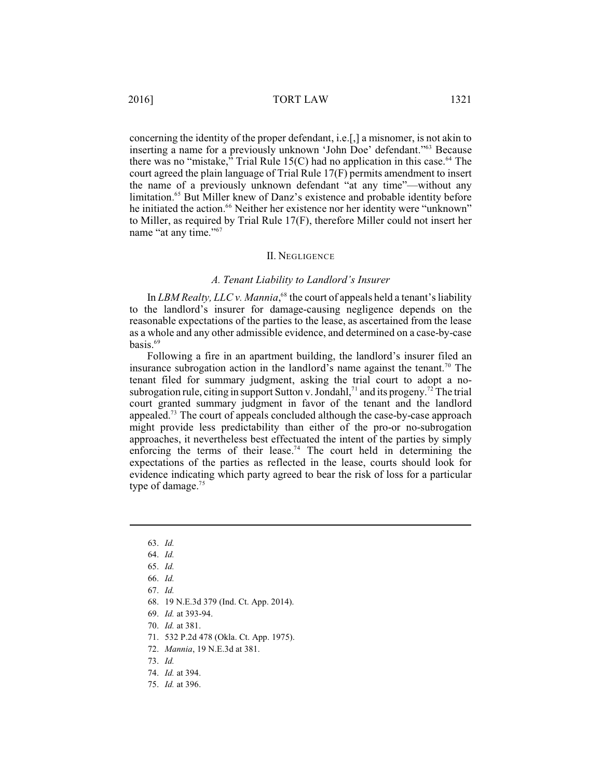concerning the identity of the proper defendant, i.e.[,] a misnomer, is not akin to inserting a name for a previously unknown 'John Doe' defendant."<sup>63</sup> Because there was no "mistake," Trial Rule 15(C) had no application in this case.<sup>64</sup> The court agreed the plain language of Trial Rule 17(F) permits amendment to insert the name of a previously unknown defendant "at any time"—without any limitation.<sup>65</sup> But Miller knew of Danz's existence and probable identity before he initiated the action.<sup>66</sup> Neither her existence nor her identity were "unknown" to Miller, as required by Trial Rule 17(F), therefore Miller could not insert her name "at any time."<sup>67</sup>

#### II. NEGLIGENCE

#### *A. Tenant Liability to Landlord's Insurer*

In *LBM* Realty, *LLC* v. *Mannia*,<sup> $68$ </sup> the court of appeals held a tenant's liability to the landlord's insurer for damage-causing negligence depends on the reasonable expectations of the parties to the lease, as ascertained from the lease as a whole and any other admissible evidence, and determined on a case-by-case basis. 69

Following a fire in an apartment building, the landlord's insurer filed an insurance subrogation action in the landlord's name against the tenant.<sup>70</sup> The tenant filed for summary judgment, asking the trial court to adopt a nosubrogation rule, citing in support Sutton v. Jondahl,<sup>71</sup> and its progeny.<sup>72</sup> The trial court granted summary judgment in favor of the tenant and the landlord appealed.<sup>73</sup> The court of appeals concluded although the case-by-case approach might provide less predictability than either of the pro-or no-subrogation approaches, it nevertheless best effectuated the intent of the parties by simply enforcing the terms of their lease.<sup>74</sup> The court held in determining the expectations of the parties as reflected in the lease, courts should look for evidence indicating which party agreed to bear the risk of loss for a particular type of damage.<sup>75</sup>

- 68. 19 N.E.3d 379 (Ind. Ct. App. 2014).
- 69. *Id.* at 393-94.
- 70. *Id.* at 381.
- 71. 532 P.2d 478 (Okla. Ct. App. 1975).
- 72. *Mannia*, 19 N.E.3d at 381.
- 73. *Id.*
- 74. *Id.* at 394.
- 75. *Id.* at 396.

<sup>63.</sup> *Id.*

<sup>64.</sup> *Id.*

<sup>65.</sup> *Id.*

<sup>66.</sup> *Id.*

<sup>67.</sup> *Id.*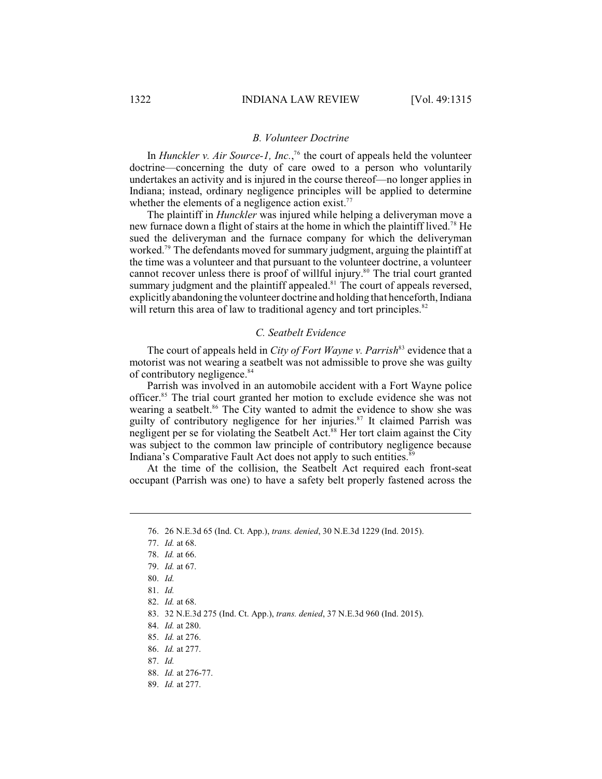## *B. Volunteer Doctrine*

In *Hunckler v. Air Source-1, Inc.*,<sup>76</sup> the court of appeals held the volunteer doctrine—concerning the duty of care owed to a person who voluntarily undertakes an activity and is injured in the course thereof—no longer applies in Indiana; instead, ordinary negligence principles will be applied to determine whether the elements of a negligence action exist.<sup>77</sup>

The plaintiff in *Hunckler* was injured while helping a deliveryman move a new furnace down a flight of stairs at the home in which the plaintiff lived.<sup>78</sup> He sued the deliveryman and the furnace company for which the deliveryman worked.<sup> $79$ </sup> The defendants moved for summary judgment, arguing the plaintiff at the time was a volunteer and that pursuant to the volunteer doctrine, a volunteer cannot recover unless there is proof of willful injury.<sup>80</sup> The trial court granted summary judgment and the plaintiff appealed.<sup>81</sup> The court of appeals reversed, explicitly abandoning the volunteer doctrine and holding that henceforth, Indiana will return this area of law to traditional agency and tort principles.<sup>82</sup>

## *C. Seatbelt Evidence*

The court of appeals held in *City of Fort Wayne v. Parrish*<sup>83</sup> evidence that a motorist was not wearing a seatbelt was not admissible to prove she was guilty of contributory negligence. 84

Parrish was involved in an automobile accident with a Fort Wayne police officer.<sup>85</sup> The trial court granted her motion to exclude evidence she was not wearing a seatbelt.<sup>86</sup> The City wanted to admit the evidence to show she was guilty of contributory negligence for her injuries.<sup>87</sup> It claimed Parrish was negligent per se for violating the Seatbelt Act.<sup>88</sup> Her tort claim against the City was subject to the common law principle of contributory negligence because Indiana's Comparative Fault Act does not apply to such entities.<sup>8</sup>

At the time of the collision, the Seatbelt Act required each front-seat occupant (Parrish was one) to have a safety belt properly fastened across the

89. *Id.* at 277.

<sup>76.</sup> 26 N.E.3d 65 (Ind. Ct. App.), *trans. denied*, 30 N.E.3d 1229 (Ind. 2015).

<sup>77.</sup> *Id.* at 68.

<sup>78.</sup> *Id.* at 66.

<sup>79.</sup> *Id.* at 67.

<sup>80.</sup> *Id.*

<sup>81.</sup> *Id.*

<sup>82.</sup> *Id.* at 68.

<sup>83.</sup> 32 N.E.3d 275 (Ind. Ct. App.), *trans. denied*, 37 N.E.3d 960 (Ind. 2015).

<sup>84.</sup> *Id.* at 280.

<sup>85.</sup> *Id.* at 276.

<sup>86.</sup> *Id.* at 277.

<sup>87.</sup> *Id.*

<sup>88.</sup> *Id.* at 276-77.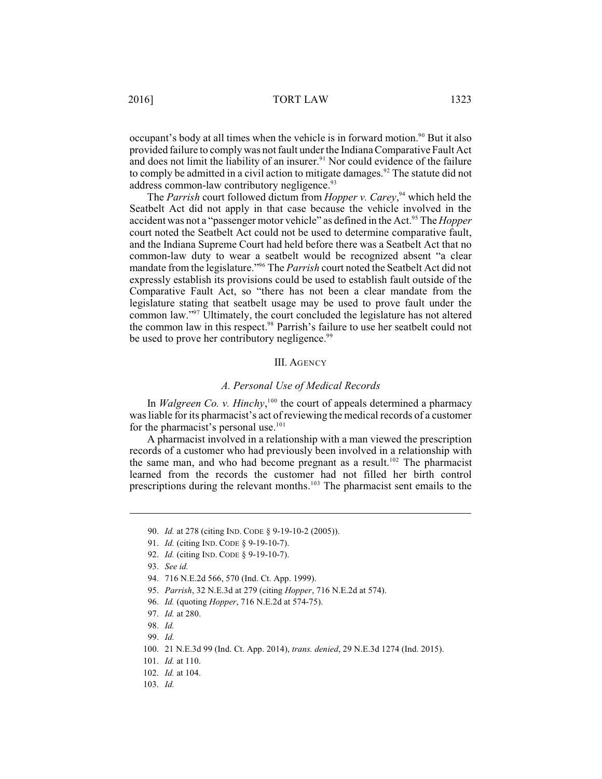2016] TORT LAW 1323

occupant's body at all times when the vehicle is in forward motion.<sup>90</sup> But it also provided failure to comply was not fault under the Indiana Comparative Fault Act and does not limit the liability of an insurer.<sup>91</sup> Nor could evidence of the failure to comply be admitted in a civil action to mitigate damages.<sup>92</sup> The statute did not address common-law contributory negligence.<sup>93</sup>

The *Parrish* court followed dictum from *Hopper v. Carey*,<sup>94</sup> which held the Seatbelt Act did not apply in that case because the vehicle involved in the accident was not a "passenger motor vehicle" as defined in the Act.<sup>95</sup> The *Hopper* court noted the Seatbelt Act could not be used to determine comparative fault, and the Indiana Supreme Court had held before there was a Seatbelt Act that no common-law duty to wear a seatbelt would be recognized absent "a clear mandate from the legislature."<sup>96</sup> The *Parrish* court noted the Seatbelt Act did not expressly establish its provisions could be used to establish fault outside of the Comparative Fault Act, so "there has not been a clear mandate from the legislature stating that seatbelt usage may be used to prove fault under the common law."<sup>97</sup> Ultimately, the court concluded the legislature has not altered the common law in this respect.<sup>98</sup> Parrish's failure to use her seatbelt could not be used to prove her contributory negligence.<sup>99</sup>

#### III. AGENCY

### *A. Personal Use of Medical Records*

In *Walgreen Co. v. Hinchy*,<sup>100</sup> the court of appeals determined a pharmacy was liable for its pharmacist's act of reviewing the medical records of a customer for the pharmacist's personal use.<sup>101</sup>

A pharmacist involved in a relationship with a man viewed the prescription records of a customer who had previously been involved in a relationship with the same man, and who had become pregnant as a result.<sup>102</sup> The pharmacist learned from the records the customer had not filled her birth control prescriptions during the relevant months.<sup>103</sup> The pharmacist sent emails to the

<sup>90.</sup> *Id.* at 278 (citing IND. CODE § 9-19-10-2 (2005)).

<sup>91.</sup> *Id.* (citing IND. CODE § 9-19-10-7).

<sup>92.</sup> *Id.* (citing IND. CODE § 9-19-10-7).

<sup>93.</sup> *See id.*

<sup>94.</sup> 716 N.E.2d 566, 570 (Ind. Ct. App. 1999).

<sup>95.</sup> *Parrish*, 32 N.E.3d at 279 (citing *Hopper*, 716 N.E.2d at 574).

<sup>96.</sup> *Id.* (quoting *Hopper*, 716 N.E.2d at 574-75).

<sup>97.</sup> *Id.* at 280.

<sup>98.</sup> *Id.*

<sup>99.</sup> *Id.* 

<sup>100.</sup> 21 N.E.3d 99 (Ind. Ct. App. 2014), *trans. denied*, 29 N.E.3d 1274 (Ind. 2015).

<sup>101.</sup> *Id.* at 110.

<sup>102.</sup> *Id.* at 104.

<sup>103.</sup> *Id.*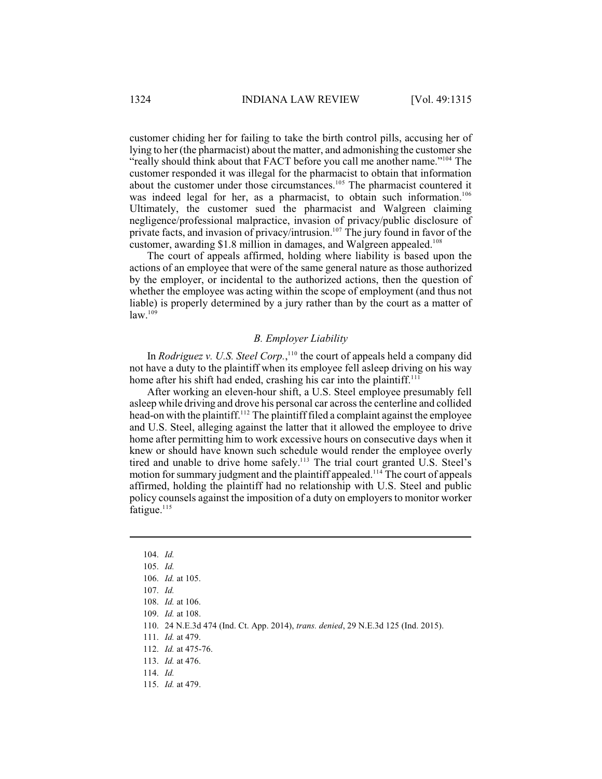customer chiding her for failing to take the birth control pills, accusing her of lying to her (the pharmacist) about the matter, and admonishing the customer she "really should think about that FACT before you call me another name."<sup>104</sup> The customer responded it was illegal for the pharmacist to obtain that information about the customer under those circumstances.<sup>105</sup> The pharmacist countered it was indeed legal for her, as a pharmacist, to obtain such information.<sup>106</sup> Ultimately, the customer sued the pharmacist and Walgreen claiming negligence/professional malpractice, invasion of privacy/public disclosure of private facts, and invasion of privacy/intrusion.<sup>107</sup> The jury found in favor of the customer, awarding \$1.8 million in damages, and Walgreen appealed.<sup>108</sup>

The court of appeals affirmed, holding where liability is based upon the actions of an employee that were of the same general nature as those authorized by the employer, or incidental to the authorized actions, then the question of whether the employee was acting within the scope of employment (and thus not liable) is properly determined by a jury rather than by the court as a matter of  $law.<sup>109</sup>$ 

### *B. Employer Liability*

In *Rodriguez v. U.S. Steel Corp.*,<sup>110</sup> the court of appeals held a company did not have a duty to the plaintiff when its employee fell asleep driving on his way home after his shift had ended, crashing his car into the plaintiff.<sup>111</sup>

After working an eleven-hour shift, a U.S. Steel employee presumably fell asleep while driving and drove his personal car acrossthe centerline and collided head-on with the plaintiff.<sup>112</sup> The plaintiff filed a complaint against the employee and U.S. Steel, alleging against the latter that it allowed the employee to drive home after permitting him to work excessive hours on consecutive days when it knew or should have known such schedule would render the employee overly tired and unable to drive home safely.<sup>113</sup> The trial court granted U.S. Steel's motion for summary judgment and the plaintiff appealed.<sup>114</sup> The court of appeals affirmed, holding the plaintiff had no relationship with U.S. Steel and public policy counsels against the imposition of a duty on employers to monitor worker fatigue. $115$ 

<sup>104.</sup> *Id.*

<sup>105.</sup> *Id.* 

<sup>106.</sup> *Id.* at 105.

<sup>107.</sup> *Id.* 

<sup>108.</sup> *Id.* at 106.

<sup>109.</sup> *Id.* at 108.

<sup>110.</sup> 24 N.E.3d 474 (Ind. Ct. App. 2014), *trans. denied*, 29 N.E.3d 125 (Ind. 2015).

<sup>111.</sup> *Id.* at 479.

<sup>112.</sup> *Id.* at 475-76.

<sup>113.</sup> *Id.* at 476.

<sup>114.</sup> *Id.* 

<sup>115.</sup> *Id.* at 479.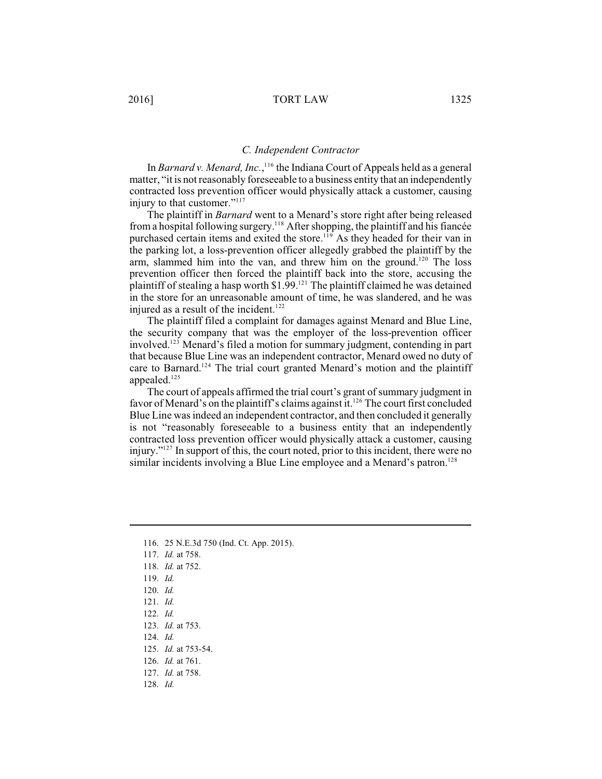In *Barnard v. Menard, Inc.*,<sup>116</sup> the Indiana Court of Appeals held as a general matter, "it is not reasonably foreseeable to a business entity that an independently contracted loss prevention officer would physically attack a customer, causing injury to that customer."<sup>117</sup>

The plaintiff in *Barnard* went to a Menard's store right after being released from a hospital following surgery.<sup>118</sup> After shopping, the plaintiff and his fiancée purchased certain items and exited the store.<sup>119</sup> As they headed for their van in the parking lot, a loss-prevention officer allegedly grabbed the plaintiff by the arm, slammed him into the van, and threw him on the ground.<sup>120</sup> The loss prevention officer then forced the plaintiff back into the store, accusing the plaintiff of stealing a hasp worth  $$1.99$ .<sup>121</sup> The plaintiff claimed he was detained in the store for an unreasonable amount of time, he was slandered, and he was injured as a result of the incident.<sup>122</sup>

The plaintiff filed a complaint for damages against Menard and Blue Line, the security company that was the employer of the loss-prevention officer involved.<sup>123</sup> Menard's filed a motion for summary judgment, contending in part that because Blue Line was an independent contractor, Menard owed no duty of care to Barnard.<sup>124</sup> The trial court granted Menard's motion and the plaintiff appealed.<sup>125</sup>

The court of appeals affirmed the trial court's grant of summary judgment in favor of Menard's on the plaintiff's claims against it.<sup>126</sup> The court first concluded Blue Line was indeed an independent contractor, and then concluded it generally is not "reasonably foreseeable to a business entity that an independently contracted loss prevention officer would physically attack a customer, causing injury." $127$  In support of this, the court noted, prior to this incident, there were no similar incidents involving a Blue Line employee and a Menard's patron.<sup>128</sup>

- 116. 25 N.E.3d 750 (Ind. Ct. App. 2015).
- 117. *Id.* at 758.
- 118. *Id.* at 752.
- 119. *Id.*
- 120. *Id.*
- 121. *Id.*
- 122. *Id.*
- 123. *Id.* at 753.
- 124. *Id.*
- 125. *Id.* at 753-54.
- 126. *Id.* at 761.
- 127. *Id.* at 758.
- 128. *Id.*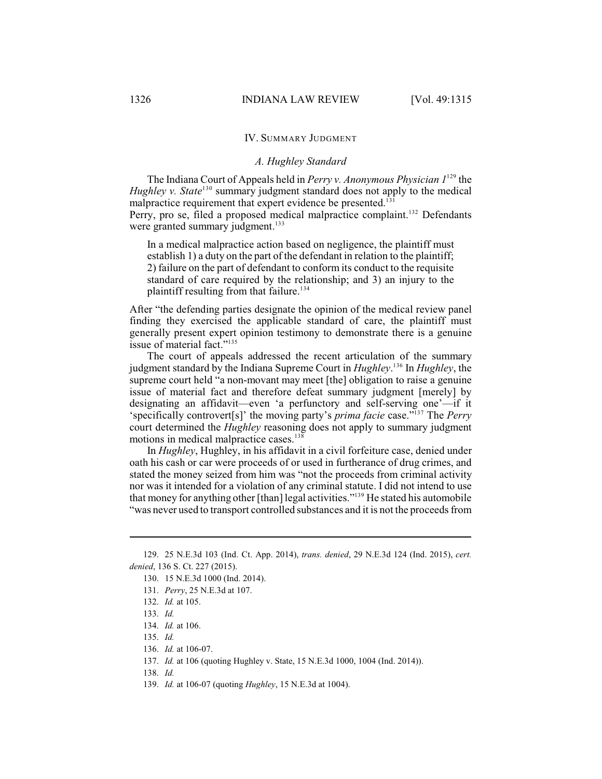### IV. SUMMARY JUDGMENT

### *A. Hughley Standard*

The Indiana Court of Appeals held in *Perry v. Anonymous Physician*  $1^{129}$  the *Hughley v. State*<sup>130</sup> summary judgment standard does not apply to the medical malpractice requirement that expert evidence be presented. $131$ 

Perry, pro se, filed a proposed medical malpractice complaint.<sup>132</sup> Defendants were granted summary judgment.<sup>133</sup>

In a medical malpractice action based on negligence, the plaintiff must establish 1) a duty on the part of the defendant in relation to the plaintiff; 2) failure on the part of defendant to conform its conduct to the requisite standard of care required by the relationship; and 3) an injury to the plaintiff resulting from that failure. 134

After "the defending parties designate the opinion of the medical review panel finding they exercised the applicable standard of care, the plaintiff must generally present expert opinion testimony to demonstrate there is a genuine issue of material fact."<sup>135</sup>

The court of appeals addressed the recent articulation of the summary judgment standard by the Indiana Supreme Court in *Hughley*.<sup>136</sup> In *Hughley*, the supreme court held "a non-movant may meet [the] obligation to raise a genuine issue of material fact and therefore defeat summary judgment [merely] by designating an affidavit—even 'a perfunctory and self-serving one'—if it 'specifically controvert[s]' the moving party's *prima facie* case."<sup>137</sup> The *Perry* court determined the *Hughley* reasoning does not apply to summary judgment motions in medical malpractice cases.<sup>138</sup>

In *Hughley*, Hughley, in his affidavit in a civil forfeiture case, denied under oath his cash or car were proceeds of or used in furtherance of drug crimes, and stated the money seized from him was "not the proceeds from criminal activity nor was it intended for a violation of any criminal statute. I did not intend to use that money for anything other [than] legal activities."<sup>139</sup> He stated his automobile "was never used to transport controlled substances and it is not the proceeds from

<sup>129.</sup> 25 N.E.3d 103 (Ind. Ct. App. 2014), *trans. denied*, 29 N.E.3d 124 (Ind. 2015), *cert. denied*, 136 S. Ct. 227 (2015).

<sup>130.</sup> 15 N.E.3d 1000 (Ind. 2014).

<sup>131.</sup> *Perry*, 25 N.E.3d at 107.

<sup>132.</sup> *Id.* at 105.

<sup>133.</sup> *Id.* 

<sup>134.</sup> *Id.* at 106.

<sup>135.</sup> *Id.* 

<sup>136.</sup> *Id.* at 106-07.

<sup>137.</sup> *Id.* at 106 (quoting Hughley v. State, 15 N.E.3d 1000, 1004 (Ind. 2014)).

<sup>138.</sup> *Id.* 

<sup>139.</sup> *Id.* at 106-07 (quoting *Hughley*, 15 N.E.3d at 1004).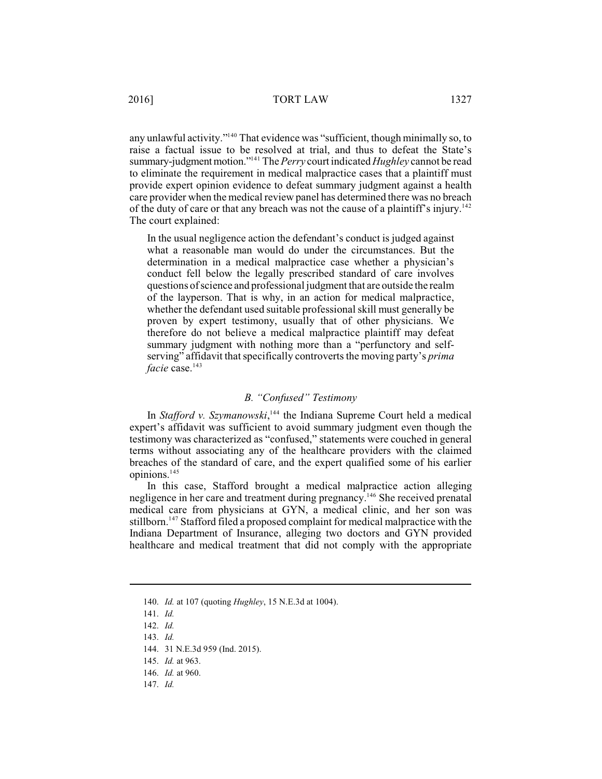any unlawful activity."<sup>140</sup> That evidence was "sufficient, though minimally so, to raise a factual issue to be resolved at trial, and thus to defeat the State's summary-judgment motion."<sup>141</sup> The *Perry* court indicated *Hughley* cannot be read to eliminate the requirement in medical malpractice cases that a plaintiff must provide expert opinion evidence to defeat summary judgment against a health care provider when the medical review panel has determined there was no breach of the duty of care or that any breach was not the cause of a plaintiff's injury.<sup>142</sup> The court explained:

In the usual negligence action the defendant's conduct is judged against what a reasonable man would do under the circumstances. But the determination in a medical malpractice case whether a physician's conduct fell below the legally prescribed standard of care involves questions of science and professional judgment that are outside the realm of the layperson. That is why, in an action for medical malpractice, whether the defendant used suitable professional skill must generally be proven by expert testimony, usually that of other physicians. We therefore do not believe a medical malpractice plaintiff may defeat summary judgment with nothing more than a "perfunctory and selfserving" affidavit that specifically controverts the moving party's *prima facie* case.<sup>143</sup>

## *B. "Confused" Testimony*

In *Stafford v. Szymanowski*,<sup>144</sup> the Indiana Supreme Court held a medical expert's affidavit was sufficient to avoid summary judgment even though the testimony was characterized as "confused," statements were couched in general terms without associating any of the healthcare providers with the claimed breaches of the standard of care, and the expert qualified some of his earlier opinions.<sup>145</sup>

In this case, Stafford brought a medical malpractice action alleging negligence in her care and treatment during pregnancy.<sup>146</sup> She received prenatal medical care from physicians at GYN, a medical clinic, and her son was stillborn.<sup>147</sup> Stafford filed a proposed complaint for medical malpractice with the Indiana Department of Insurance, alleging two doctors and GYN provided healthcare and medical treatment that did not comply with the appropriate

<sup>140.</sup> *Id.* at 107 (quoting *Hughley*, 15 N.E.3d at 1004).

<sup>141.</sup> *Id.*

<sup>142.</sup> *Id.*

<sup>143.</sup> *Id.*

<sup>144.</sup> 31 N.E.3d 959 (Ind. 2015).

<sup>145.</sup> *Id.* at 963.

<sup>146.</sup> *Id.* at 960.

<sup>147.</sup> *Id.*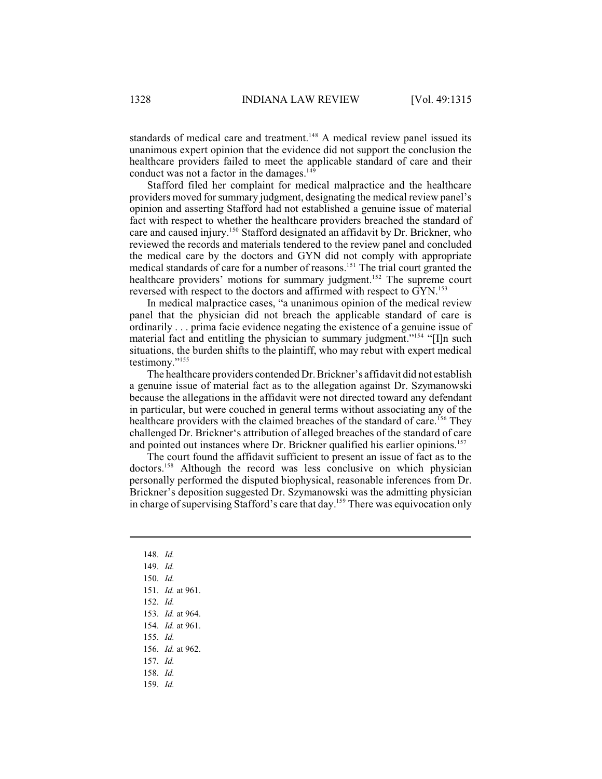standards of medical care and treatment.<sup>148</sup> A medical review panel issued its unanimous expert opinion that the evidence did not support the conclusion the healthcare providers failed to meet the applicable standard of care and their conduct was not a factor in the damages.<sup>149</sup>

Stafford filed her complaint for medical malpractice and the healthcare providers moved forsummary judgment, designating the medical review panel's opinion and asserting Stafford had not established a genuine issue of material fact with respect to whether the healthcare providers breached the standard of care and caused injury.<sup>150</sup> Stafford designated an affidavit by Dr. Brickner, who reviewed the records and materials tendered to the review panel and concluded the medical care by the doctors and GYN did not comply with appropriate medical standards of care for a number of reasons.<sup>151</sup> The trial court granted the healthcare providers' motions for summary judgment.<sup>152</sup> The supreme court reversed with respect to the doctors and affirmed with respect to GYN.<sup>153</sup>

In medical malpractice cases, "a unanimous opinion of the medical review panel that the physician did not breach the applicable standard of care is ordinarily . . . prima facie evidence negating the existence of a genuine issue of material fact and entitling the physician to summary judgment."<sup>154</sup> "[I]n such situations, the burden shifts to the plaintiff, who may rebut with expert medical testimony."<sup>155</sup>

The healthcare providers contended Dr. Brickner's affidavit did not establish a genuine issue of material fact as to the allegation against Dr. Szymanowski because the allegations in the affidavit were not directed toward any defendant in particular, but were couched in general terms without associating any of the healthcare providers with the claimed breaches of the standard of care.<sup>156</sup> They challenged Dr. Brickner's attribution of alleged breaches of the standard of care and pointed out instances where Dr. Brickner qualified his earlier opinions.<sup>157</sup>

The court found the affidavit sufficient to present an issue of fact as to the doctors.<sup>158</sup> Although the record was less conclusive on which physician personally performed the disputed biophysical, reasonable inferences from Dr. Brickner's deposition suggested Dr. Szymanowski was the admitting physician in charge of supervising Stafford's care that day.<sup>159</sup> There was equivocation only

- 148. *Id.*
- 149. *Id.*
- 150. *Id.*
- 151. *Id.* at 961.
- 152. *Id.*
- 153. *Id.* at 964.
- 154. *Id.* at 961.
- 155. *Id.*
- 156. *Id.* at 962.
- 157. *Id.*
- 158. *Id.*
- 159. *Id.*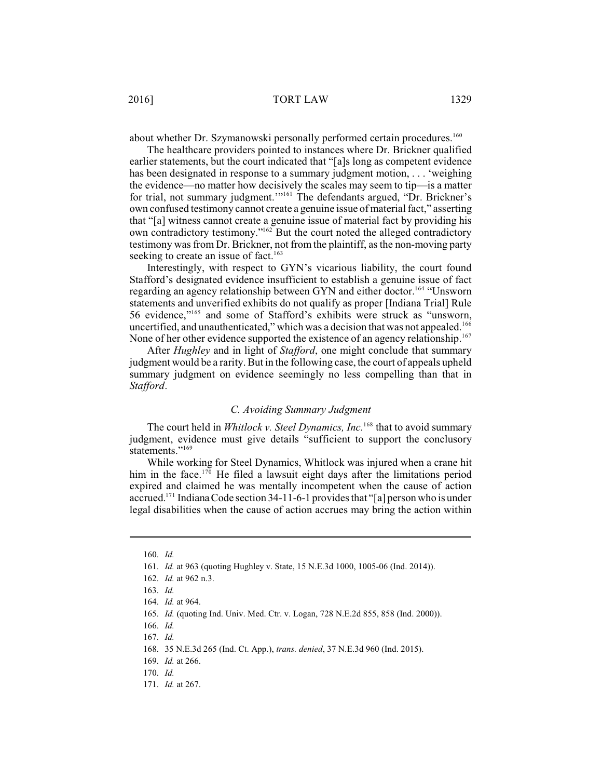about whether Dr. Szymanowski personally performed certain procedures.<sup>160</sup>

The healthcare providers pointed to instances where Dr. Brickner qualified earlier statements, but the court indicated that "[a]s long as competent evidence has been designated in response to a summary judgment motion, . . . 'weighing the evidence—no matter how decisively the scales may seem to tip—is a matter for trial, not summary judgment."<sup>161</sup> The defendants argued, "Dr. Brickner's own confused testimony cannot create a genuine issue of material fact," asserting that "[a] witness cannot create a genuine issue of material fact by providing his own contradictory testimony."<sup>162</sup> But the court noted the alleged contradictory testimony was from Dr. Brickner, not from the plaintiff, as the non-moving party seeking to create an issue of fact.<sup>163</sup>

Interestingly, with respect to GYN's vicarious liability, the court found Stafford's designated evidence insufficient to establish a genuine issue of fact regarding an agency relationship between GYN and either doctor.<sup>164</sup> "Unsworn statements and unverified exhibits do not qualify as proper [Indiana Trial] Rule 56 evidence,"<sup>165</sup> and some of Stafford's exhibits were struck as "unsworn, uncertified, and unauthenticated," which was a decision that was not appealed.<sup>166</sup> None of her other evidence supported the existence of an agency relationship.<sup>167</sup>

After *Hughley* and in light of *Stafford*, one might conclude that summary judgment would be a rarity. But in the following case, the court of appeals upheld summary judgment on evidence seemingly no less compelling than that in *Stafford*.

### *C. Avoiding Summary Judgment*

The court held in *Whitlock v. Steel Dynamics, Inc.*<sup>168</sup> that to avoid summary judgment, evidence must give details "sufficient to support the conclusory statements."<sup>169</sup>

While working for Steel Dynamics, Whitlock was injured when a crane hit him in the face.<sup> $170$ </sup> He filed a lawsuit eight days after the limitations period expired and claimed he was mentally incompetent when the cause of action accrued.<sup>171</sup> Indiana Code section 34-11-6-1 provides that "[a] person who is under legal disabilities when the cause of action accrues may bring the action within

<sup>160.</sup> *Id.*

<sup>161.</sup> *Id.* at 963 (quoting Hughley v. State, 15 N.E.3d 1000, 1005-06 (Ind. 2014)).

<sup>162.</sup> *Id.* at 962 n.3.

<sup>163.</sup> *Id.*

<sup>164.</sup> *Id.* at 964.

<sup>165.</sup> *Id.* (quoting Ind. Univ. Med. Ctr. v. Logan, 728 N.E.2d 855, 858 (Ind. 2000)).

<sup>166.</sup> *Id.*

<sup>167.</sup> *Id.*

<sup>168.</sup> 35 N.E.3d 265 (Ind. Ct. App.), *trans. denied*, 37 N.E.3d 960 (Ind. 2015).

<sup>169.</sup> *Id.* at 266.

<sup>170.</sup> *Id.* 

<sup>171.</sup> *Id.* at 267.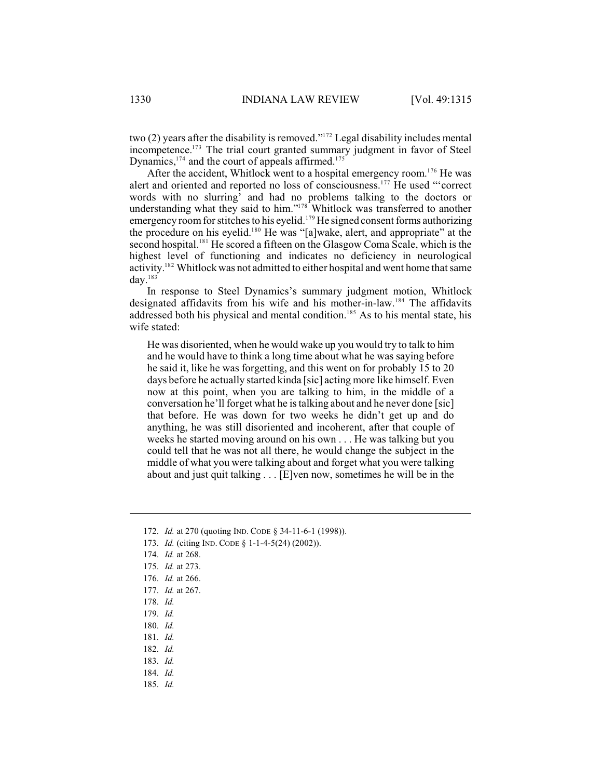two (2) years after the disability is removed." $172$  Legal disability includes mental incompetence.<sup>173</sup> The trial court granted summary judgment in favor of Steel Dynamics,  $174$  and the court of appeals affirmed.  $175$ 

After the accident, Whitlock went to a hospital emergency room.<sup>176</sup> He was alert and oriented and reported no loss of consciousness.<sup>177</sup> He used "'correct words with no slurring' and had no problems talking to the doctors or understanding what they said to him."<sup>178</sup> Whitlock was transferred to another emergency room for stitches to his eyelid.<sup>179</sup> He signed consent forms authorizing the procedure on his eyelid.<sup>180</sup> He was "[a]wake, alert, and appropriate" at the second hospital.<sup>181</sup> He scored a fifteen on the Glasgow Coma Scale, which is the highest level of functioning and indicates no deficiency in neurological activity.<sup>182</sup> Whitlock was not admitted to either hospital and went home that same day. $183$ 

In response to Steel Dynamics's summary judgment motion, Whitlock designated affidavits from his wife and his mother-in-law.<sup>184</sup> The affidavits addressed both his physical and mental condition.<sup>185</sup> As to his mental state, his wife stated:

He was disoriented, when he would wake up you would try to talk to him and he would have to think a long time about what he was saying before he said it, like he was forgetting, and this went on for probably 15 to 20 days before he actually started kinda [sic] acting more like himself. Even now at this point, when you are talking to him, in the middle of a conversation he'll forget what he istalking about and he never done [sic] that before. He was down for two weeks he didn't get up and do anything, he was still disoriented and incoherent, after that couple of weeks he started moving around on his own . . . He was talking but you could tell that he was not all there, he would change the subject in the middle of what you were talking about and forget what you were talking about and just quit talking . . . [E]ven now, sometimes he will be in the

- 173. *Id.* (citing IND. CODE § 1-1-4-5(24) (2002)).
- 174. *Id.* at 268.
- 175. *Id.* at 273.
- 176. *Id.* at 266.
- 177. *Id.* at 267.
- 178. *Id.*
- 179. *Id.*
- 180. *Id.*
- 181. *Id.*
- 182. *Id.*
- 183. *Id.*
- 184. *Id.*
- 185. *Id.*

<sup>172.</sup> *Id.* at 270 (quoting IND. CODE § 34-11-6-1 (1998)).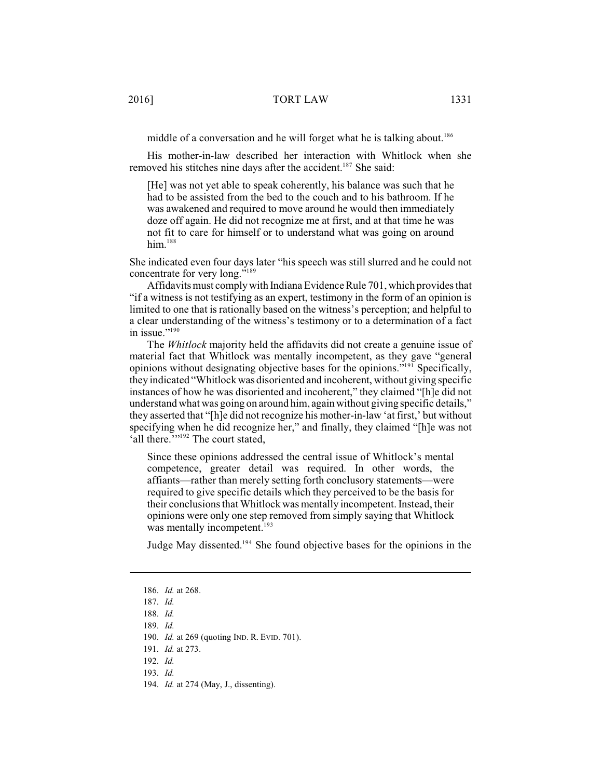middle of a conversation and he will forget what he is talking about.<sup>186</sup>

His mother-in-law described her interaction with Whitlock when she removed his stitches nine days after the accident.<sup>187</sup> She said:

[He] was not yet able to speak coherently, his balance was such that he had to be assisted from the bed to the couch and to his bathroom. If he was awakened and required to move around he would then immediately doze off again. He did not recognize me at first, and at that time he was not fit to care for himself or to understand what was going on around  $him.<sup>188</sup>$ 

She indicated even four days later "his speech was still slurred and he could not concentrate for very long."<sup>189</sup>

Affidavits must comply with Indiana Evidence Rule 701, which provides that "if a witness is not testifying as an expert, testimony in the form of an opinion is limited to one that is rationally based on the witness's perception; and helpful to a clear understanding of the witness's testimony or to a determination of a fact in issue."<sup>190</sup>

The *Whitlock* majority held the affidavits did not create a genuine issue of material fact that Whitlock was mentally incompetent, as they gave "general opinions without designating objective bases for the opinions."<sup>191</sup> Specifically, they indicated "Whitlock was disoriented and incoherent, without giving specific instances of how he was disoriented and incoherent," they claimed "[h]e did not understand what was going on around him, again without giving specific details," they asserted that "[h]e did not recognize his mother-in-law 'at first,' but without specifying when he did recognize her," and finally, they claimed "[h]e was not 'all there."<sup>192</sup> The court stated,

Since these opinions addressed the central issue of Whitlock's mental competence, greater detail was required. In other words, the affiants—rather than merely setting forth conclusory statements—were required to give specific details which they perceived to be the basis for their conclusionsthat Whitlock was mentally incompetent. Instead, their opinions were only one step removed from simply saying that Whitlock was mentally incompetent.<sup>193</sup>

Judge May dissented.<sup>194</sup> She found objective bases for the opinions in the

<sup>186.</sup> *Id.* at 268.

<sup>187.</sup> *Id.* 

<sup>188.</sup> *Id.* 

<sup>189.</sup> *Id.* 

<sup>190.</sup> *Id.* at 269 (quoting IND. R. EVID. 701).

<sup>191.</sup> *Id.* at 273.

<sup>192.</sup> *Id.*

<sup>193.</sup> *Id.* 

<sup>194.</sup> *Id.* at 274 (May, J., dissenting).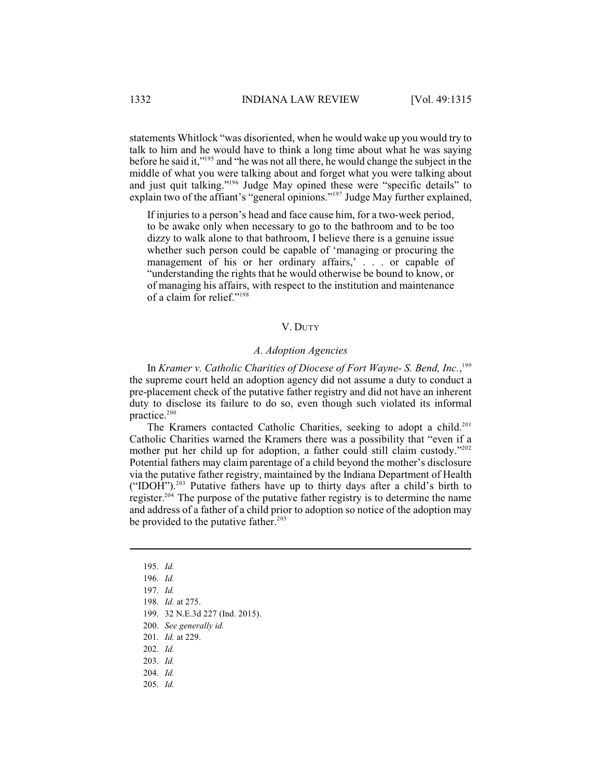statements Whitlock "was disoriented, when he would wake up you would try to talk to him and he would have to think a long time about what he was saying before he said it," $195$  and "he was not all there, he would change the subject in the middle of what you were talking about and forget what you were talking about and just quit talking."<sup>196</sup> Judge May opined these were "specific details" to explain two of the affiant's "general opinions." Judge May further explained,

If injuries to a person's head and face cause him, for a two-week period, to be awake only when necessary to go to the bathroom and to be too dizzy to walk alone to that bathroom, I believe there is a genuine issue whether such person could be capable of 'managing or procuring the management of his or her ordinary affairs, . . . or capable of "understanding the rights that he would otherwise be bound to know, or of managing his affairs, with respect to the institution and maintenance of a claim for relief."<sup>198</sup>

# V. DUTY

## *A. Adoption Agencies*

In *Kramer v. Catholic Charities of Diocese of Fort Wayne- S. Bend, Inc.*, 199 the supreme court held an adoption agency did not assume a duty to conduct a pre-placement check of the putative father registry and did not have an inherent duty to disclose its failure to do so, even though such violated its informal practice.<sup>200</sup>

The Kramers contacted Catholic Charities, seeking to adopt a child.<sup>201</sup> Catholic Charities warned the Kramers there was a possibility that "even if a mother put her child up for adoption, a father could still claim custody."<sup>202</sup> Potential fathers may claim parentage of a child beyond the mother's disclosure via the putative father registry, maintained by the Indiana Department of Health ("IDOH").<sup>203</sup> Putative fathers have up to thirty days after a child's birth to register.<sup> $204$ </sup> The purpose of the putative father registry is to determine the name and address of a father of a child prior to adoption so notice of the adoption may be provided to the putative father.<sup>205</sup>

- 197. *Id.*
- 198. *Id.* at 275.

- 201. *Id.* at 229.
- 202. *Id.*
- 203. *Id.*
- 204. *Id.*
- 205. *Id.*

<sup>195.</sup> *Id.*

<sup>196.</sup> *Id.*

<sup>199.</sup> 32 N.E.3d 227 (Ind. 2015).

<sup>200.</sup> *See generally id.*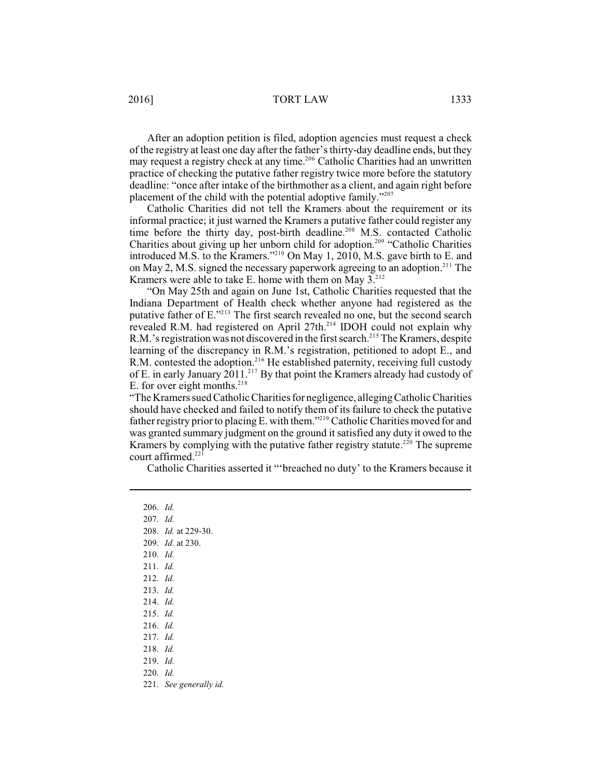After an adoption petition is filed, adoption agencies must request a check of the registry at least one day after the father's thirty-day deadline ends, but they may request a registry check at any time.<sup>206</sup> Catholic Charities had an unwritten practice of checking the putative father registry twice more before the statutory deadline: "once after intake of the birthmother as a client, and again right before placement of the child with the potential adoptive family."<sup>207</sup>

Catholic Charities did not tell the Kramers about the requirement or its informal practice; it just warned the Kramers a putative father could register any time before the thirty day, post-birth deadline.<sup>208</sup> M.S. contacted Catholic Charities about giving up her unborn child for adoption.<sup>209</sup> "Catholic Charities introduced M.S. to the Kramers."<sup> $210$ </sup> On May 1, 2010, M.S. gave birth to E. and on May 2, M.S. signed the necessary paperwork agreeing to an adoption.<sup>211</sup> The Kramers were able to take E. home with them on May  $3.^{212}$ .

"On May 25th and again on June 1st, Catholic Charities requested that the Indiana Department of Health check whether anyone had registered as the putative father of  $E^{2213}$ . The first search revealed no one, but the second search revealed R.M. had registered on April 27th.<sup>214</sup> IDOH could not explain why R.M.'s registration was not discovered in the first search.<sup>215</sup> The Kramers, despite learning of the discrepancy in R.M.'s registration, petitioned to adopt E., and R.M. contested the adoption.<sup>216</sup> He established paternity, receiving full custody of E. in early January  $2011.^{217}$  By that point the Kramers already had custody of E. for over eight months. $218$ 

"The Kramers sued CatholicCharities for negligence, alleging CatholicCharities should have checked and failed to notify them of its failure to check the putative father registry prior to placing E. with them."<sup>219</sup> Catholic Charities moved for and was granted summary judgment on the ground it satisfied any duty it owed to the Kramers by complying with the putative father registry statute.<sup>220</sup> The supreme court affirmed. $221$ 

Catholic Charities asserted it "'breached no duty' to the Kramers because it

206. *Id.*

- 207. *Id.*
- 208. *Id.* at 229-30.
- 209. *Id.* at 230.
- 210. *Id.*
- 211. *Id.*
- 212. *Id.*
- 213. *Id.*
- 214. *Id.*
- 215. *Id.*
- 216. *Id.*
- 217. *Id.*
- 218. *Id.*
- 219. *Id.*
- 220. *Id.*
- 221. *See generally id.*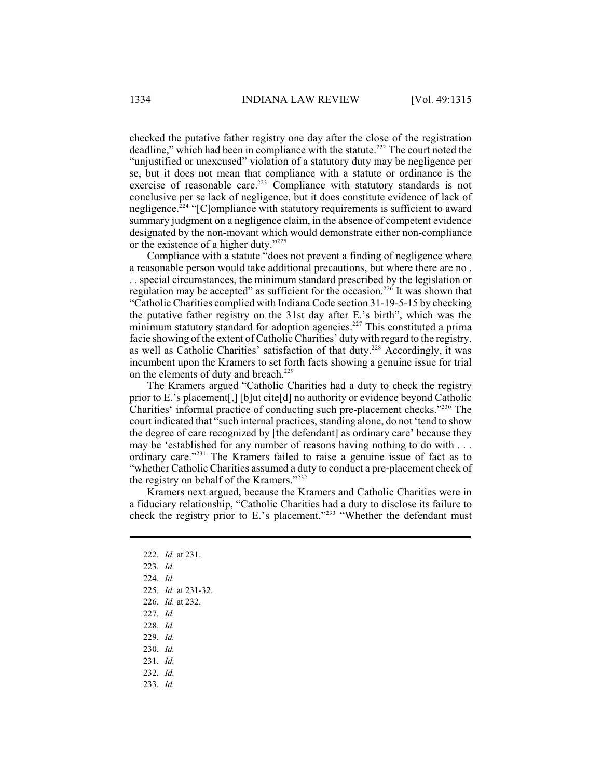checked the putative father registry one day after the close of the registration deadline," which had been in compliance with the statute.<sup>222</sup> The court noted the "unjustified or unexcused" violation of a statutory duty may be negligence per se, but it does not mean that compliance with a statute or ordinance is the exercise of reasonable care.<sup>223</sup> Compliance with statutory standards is not conclusive per se lack of negligence, but it does constitute evidence of lack of negligence. $224$  "[C]ompliance with statutory requirements is sufficient to award summary judgment on a negligence claim, in the absence of competent evidence designated by the non-movant which would demonstrate either non-compliance or the existence of a higher duty."<sup>225</sup>

Compliance with a statute "does not prevent a finding of negligence where a reasonable person would take additional precautions, but where there are no . . . special circumstances, the minimum standard prescribed by the legislation or regulation may be accepted" as sufficient for the occasion.<sup>226</sup> It was shown that "Catholic Charities complied with Indiana Code section 31-19-5-15 by checking the putative father registry on the 31st day after E.'s birth", which was the minimum statutory standard for adoption agencies.<sup>227</sup> This constituted a prima facie showing of the extent of Catholic Charities' duty with regard to the registry, as well as Catholic Charities' satisfaction of that duty.<sup>228</sup> Accordingly, it was incumbent upon the Kramers to set forth facts showing a genuine issue for trial on the elements of duty and breach.<sup>229</sup>

The Kramers argued "Catholic Charities had a duty to check the registry prior to E.'s placement[,] [b]ut cite[d] no authority or evidence beyond Catholic Charities' informal practice of conducting such pre-placement checks."<sup>230</sup> The court indicated that "such internal practices, standing alone, do not 'tend to show the degree of care recognized by [the defendant] as ordinary care' because they may be 'established for any number of reasons having nothing to do with . . . ordinary care."<sup>231</sup> The Kramers failed to raise a genuine issue of fact as to "whether Catholic Charities assumed a duty to conduct a pre-placement check of the registry on behalf of the Kramers."<sup>232</sup>

Kramers next argued, because the Kramers and Catholic Charities were in a fiduciary relationship, "Catholic Charities had a duty to disclose its failure to check the registry prior to E.'s placement."<sup>233</sup> "Whether the defendant must

- 223. *Id.*
- 224. *Id.*
- 225. *Id.* at 231-32.
- 226. *Id.* at 232.
- 227. *Id.*
- 228. *Id.*
- 229. *Id.*
- 230. *Id.*
- 231. *Id.*
- 232. *Id.*
- 233. *Id.*

<sup>222.</sup> *Id.* at 231.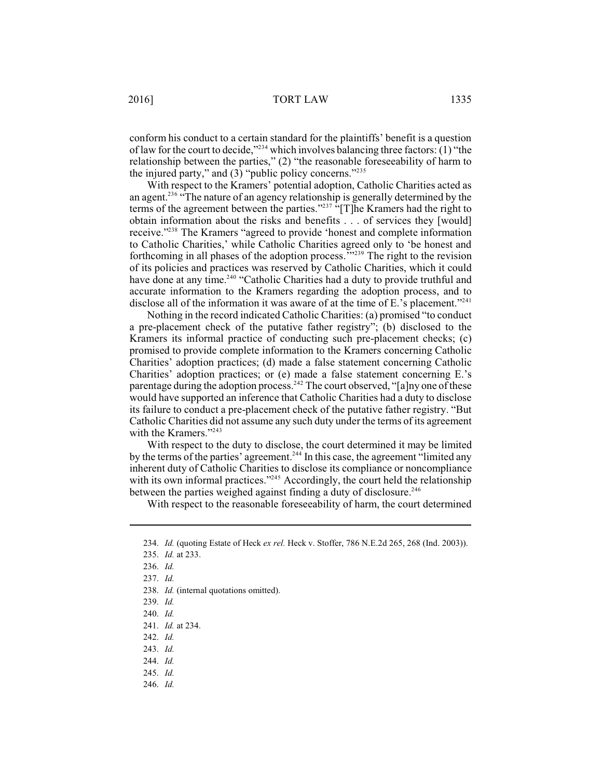conform his conduct to a certain standard for the plaintiffs' benefit is a question of law for the court to decide," $^{234}$  which involves balancing three factors: (1) "the relationship between the parties," (2) "the reasonable foreseeability of harm to the injured party," and  $(3)$  "public policy concerns."<sup>235</sup>

With respect to the Kramers' potential adoption, Catholic Charities acted as an agent.<sup>236</sup>  $\cdot$ The nature of an agency relationship is generally determined by the terms of the agreement between the parties." $2^{237}$  "[T]he Kramers had the right to obtain information about the risks and benefits . . . of services they [would] receive."<sup>238</sup> The Kramers "agreed to provide 'honest and complete information to Catholic Charities,' while Catholic Charities agreed only to 'be honest and forthcoming in all phases of the adoption process."<sup>239</sup> The right to the revision of its policies and practices was reserved by Catholic Charities, which it could have done at any time.<sup>240</sup> "Catholic Charities had a duty to provide truthful and accurate information to the Kramers regarding the adoption process, and to disclose all of the information it was aware of at the time of E.'s placement."<sup>241</sup>

Nothing in the record indicated Catholic Charities: (a) promised "to conduct a pre-placement check of the putative father registry"; (b) disclosed to the Kramers its informal practice of conducting such pre-placement checks; (c) promised to provide complete information to the Kramers concerning Catholic Charities' adoption practices; (d) made a false statement concerning Catholic Charities' adoption practices; or (e) made a false statement concerning E.'s parentage during the adoption process.  $242$  The court observed, "[a]ny one of these would have supported an inference that Catholic Charities had a duty to disclose its failure to conduct a pre-placement check of the putative father registry. "But Catholic Charities did not assume any such duty under the terms of its agreement with the Kramers."<sup>243</sup>

With respect to the duty to disclose, the court determined it may be limited by the terms of the parties' agreement.<sup>244</sup> In this case, the agreement "limited any inherent duty of Catholic Charities to disclose its compliance or noncompliance with its own informal practices."<sup> $245$ </sup> Accordingly, the court held the relationship between the parties weighed against finding a duty of disclosure.<sup>246</sup>

With respect to the reasonable foreseeability of harm, the court determined

- 242. *Id.*
- 243. *Id.*
- 244. *Id.*
- 245. *Id.*
- 246. *Id.*

<sup>234.</sup> *Id.* (quoting Estate of Heck *ex rel.* Heck v. Stoffer, 786 N.E.2d 265, 268 (Ind. 2003)).

<sup>235.</sup> *Id.* at 233.

<sup>236.</sup> *Id.*

<sup>237.</sup> *Id.*

<sup>238.</sup> *Id.* (internal quotations omitted).

<sup>239.</sup> *Id.*

<sup>240.</sup> *Id.*

<sup>241.</sup> *Id.* at 234.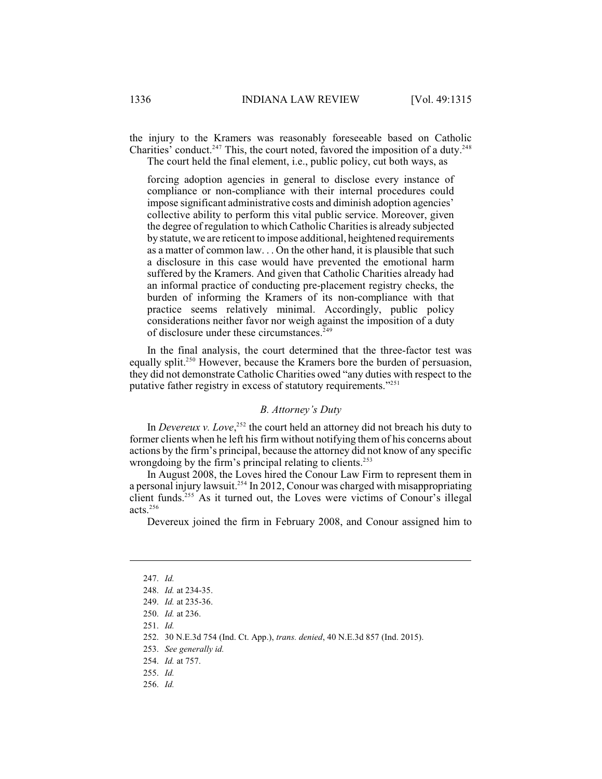the injury to the Kramers was reasonably foreseeable based on Catholic Charities' conduct.<sup>247</sup> This, the court noted, favored the imposition of a duty.<sup>248</sup> The court held the final element, i.e., public policy, cut both ways, as

forcing adoption agencies in general to disclose every instance of compliance or non-compliance with their internal procedures could impose significant administrative costs and diminish adoption agencies' collective ability to perform this vital public service. Moreover, given the degree of regulation to which Catholic Charities is already subjected by statute, we are reticent to impose additional, heightened requirements as a matter of common law. . . On the other hand, it is plausible that such a disclosure in this case would have prevented the emotional harm suffered by the Kramers. And given that Catholic Charities already had an informal practice of conducting pre-placement registry checks, the burden of informing the Kramers of its non-compliance with that practice seems relatively minimal. Accordingly, public policy considerations neither favor nor weigh against the imposition of a duty of disclosure under these circumstances.<sup>249</sup>

In the final analysis, the court determined that the three-factor test was equally split.<sup>250</sup> However, because the Kramers bore the burden of persuasion, they did not demonstrate Catholic Charities owed "any duties with respect to the putative father registry in excess of statutory requirements."<sup>251</sup>

#### *B. Attorney's Duty*

In *Devereux v. Love*,<sup>252</sup> the court held an attorney did not breach his duty to former clients when he left his firm without notifying them of his concerns about actions by the firm's principal, because the attorney did not know of any specific wrongdoing by the firm's principal relating to clients.<sup>253</sup>

In August 2008, the Loves hired the Conour Law Firm to represent them in a personal injury lawsuit.<sup>254</sup> In 2012, Conour was charged with misappropriating client funds.<sup>255</sup> As it turned out, the Loves were victims of Conour's illegal acts.<sup>256</sup>

Devereux joined the firm in February 2008, and Conour assigned him to

<sup>247.</sup> *Id.*

<sup>248.</sup> *Id.* at 234-35.

<sup>249.</sup> *Id.* at 235-36.

<sup>250.</sup> *Id.* at 236.

<sup>251.</sup> *Id.*

<sup>252.</sup> 30 N.E.3d 754 (Ind. Ct. App.), *trans. denied*, 40 N.E.3d 857 (Ind. 2015).

<sup>253.</sup> *See generally id.*

<sup>254.</sup> *Id.* at 757.

<sup>255.</sup> *Id.*

<sup>256.</sup> *Id.*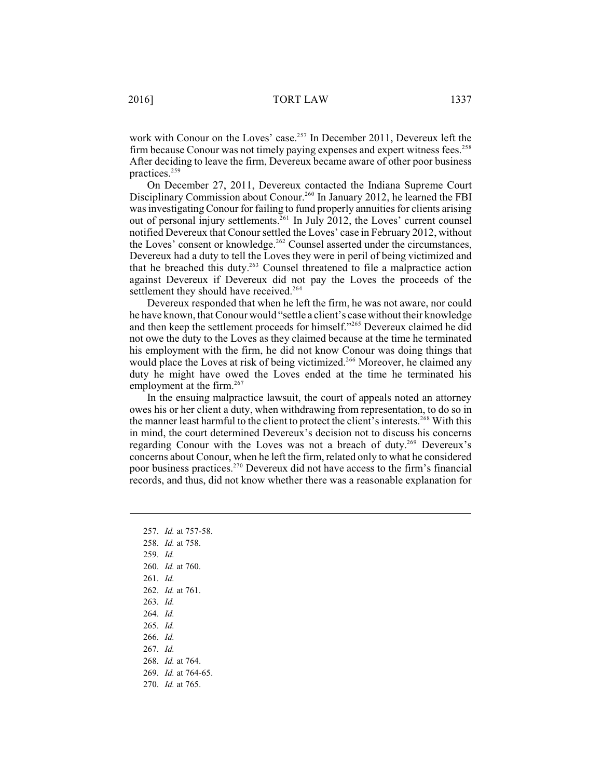work with Conour on the Loves' case.<sup>257</sup> In December 2011, Devereux left the firm because Conour was not timely paying expenses and expert witness fees.<sup>258</sup> After deciding to leave the firm, Devereux became aware of other poor business practices.<sup>259</sup>

On December 27, 2011, Devereux contacted the Indiana Supreme Court Disciplinary Commission about Conour.<sup>260</sup> In January 2012, he learned the FBI was investigating Conour for failing to fund properly annuities for clients arising out of personal injury settlements.<sup>261</sup> In July 2012, the Loves' current counsel notified Devereux that Conour settled the Loves' case in February 2012, without the Loves' consent or knowledge.<sup>262</sup> Counsel asserted under the circumstances, Devereux had a duty to tell the Loves they were in peril of being victimized and that he breached this duty.<sup>263</sup> Counsel threatened to file a malpractice action against Devereux if Devereux did not pay the Loves the proceeds of the settlement they should have received.<sup>264</sup>

Devereux responded that when he left the firm, he was not aware, nor could he have known, that Conour would "settle a client's case without their knowledge and then keep the settlement proceeds for himself."<sup>265</sup> Devereux claimed he did not owe the duty to the Loves as they claimed because at the time he terminated his employment with the firm, he did not know Conour was doing things that would place the Loves at risk of being victimized.<sup>266</sup> Moreover, he claimed any duty he might have owed the Loves ended at the time he terminated his employment at the firm.<sup>267</sup>

In the ensuing malpractice lawsuit, the court of appeals noted an attorney owes his or her client a duty, when withdrawing from representation, to do so in the manner least harmful to the client to protect the client's interests.<sup>268</sup> With this in mind, the court determined Devereux's decision not to discuss his concerns regarding Conour with the Loves was not a breach of duty.<sup>269</sup> Devereux's concerns about Conour, when he left the firm, related only to what he considered poor business practices.<sup>270</sup> Devereux did not have access to the firm's financial records, and thus, did not know whether there was a reasonable explanation for

257. *Id.* at 757-58. 258. *Id.* at 758. 259. *Id.* 260. *Id.* at 760. 261. *Id.*  262. *Id.* at 761. 263. *Id.* 264. *Id.* 265. *Id.*  266. *Id.* 267. *Id.* 268. *Id.* at 764. 269. *Id.* at 764-65. 270. *Id.* at 765.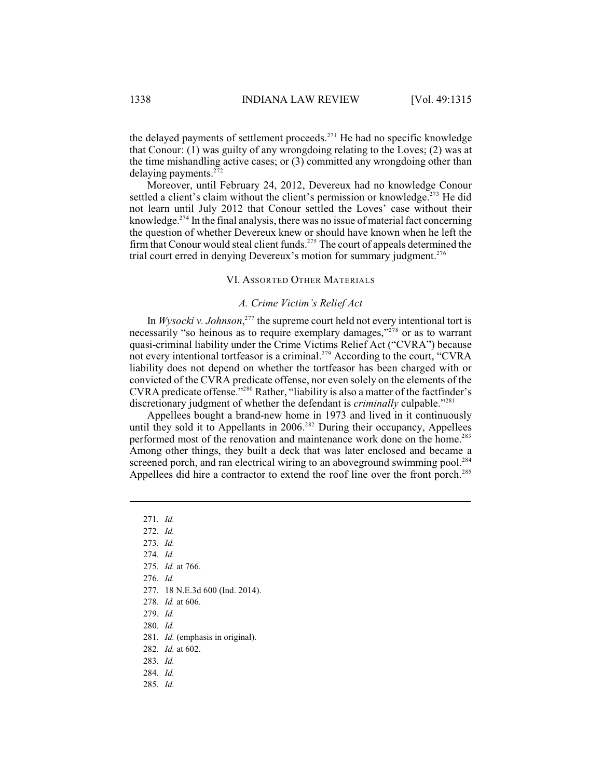the delayed payments of settlement proceeds. $271$  He had no specific knowledge that Conour: (1) was guilty of any wrongdoing relating to the Loves; (2) was at the time mishandling active cases; or (3) committed any wrongdoing other than delaying payments. $272$ 

Moreover, until February 24, 2012, Devereux had no knowledge Conour settled a client's claim without the client's permission or knowledge.<sup> $273$ </sup> He did not learn until July 2012 that Conour settled the Loves' case without their knowledge. $274$  In the final analysis, there was no issue of material fact concerning the question of whether Devereux knew or should have known when he left the firm that Conour would steal client funds.<sup> $275$ </sup> The court of appeals determined the trial court erred in denying Devereux's motion for summary judgment.<sup>276</sup>

#### VI. ASSORTED OTHER MATERIALS

## *A. Crime Victim's Relief Act*

In  $Wysocki$  *v. Johnson*<sup>277</sup>, the supreme court held not every intentional tort is necessarily "so heinous as to require exemplary damages," $278$  or as to warrant quasi-criminal liability under the Crime Victims Relief Act ("CVRA") because not every intentional tortfeasor is a criminal.<sup>279</sup> According to the court, "CVRA liability does not depend on whether the tortfeasor has been charged with or convicted of the CVRA predicate offense, nor even solely on the elements of the CVRA predicate offense."<sup>280</sup> Rather, "liability is also a matter of the factfinder's discretionary judgment of whether the defendant is *criminally* culpable.<sup>"281</sup>

Appellees bought a brand-new home in 1973 and lived in it continuously until they sold it to Appellants in  $2006$ <sup>282</sup> During their occupancy, Appellees performed most of the renovation and maintenance work done on the home.<sup>283</sup> Among other things, they built a deck that was later enclosed and became a screened porch, and ran electrical wiring to an aboveground swimming pool.<sup>284</sup> Appellees did hire a contractor to extend the roof line over the front porch.<sup>285</sup>

277. 18 N.E.3d 600 (Ind. 2014).

- 279. *Id.*
- 280. *Id.*
- 281. *Id.* (emphasis in original).
- 282. *Id.* at 602.
- 283. *Id.*
- 284. *Id.*
- 285. *Id.*

<sup>271.</sup> *Id.*

<sup>272.</sup> *Id.*

<sup>273.</sup> *Id.*

<sup>274.</sup> *Id.*

<sup>275.</sup> *Id.* at 766.

<sup>276.</sup> *Id.*

<sup>278.</sup> *Id.* at 606.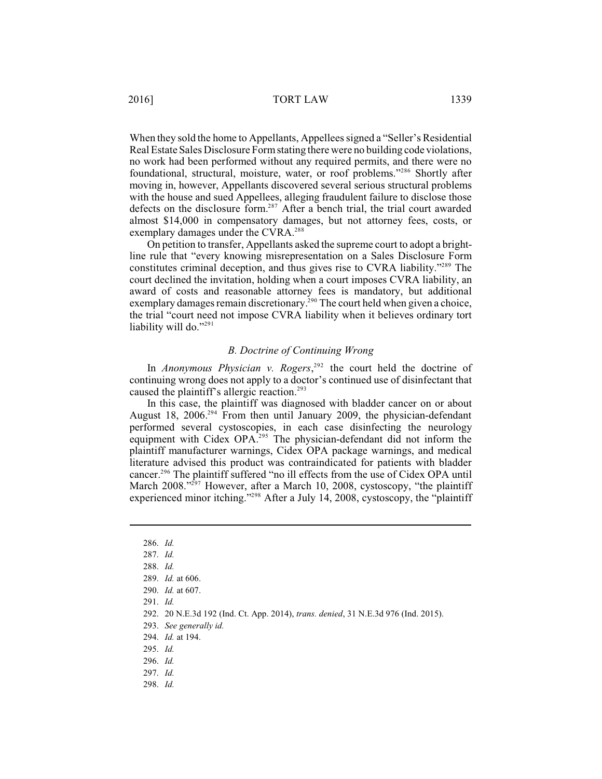2016] TORT LAW 1339

When they sold the home to Appellants, Appellees signed a "Seller's Residential Real Estate Sales Disclosure Formstating there were no building code violations, no work had been performed without any required permits, and there were no foundational, structural, moisture, water, or roof problems."<sup>286</sup> Shortly after moving in, however, Appellants discovered several serious structural problems with the house and sued Appellees, alleging fraudulent failure to disclose those defects on the disclosure form.<sup>287</sup> After a bench trial, the trial court awarded almost \$14,000 in compensatory damages, but not attorney fees, costs, or exemplary damages under the CVRA.<sup>288</sup>

On petition to transfer, Appellants asked the supreme court to adopt a brightline rule that "every knowing misrepresentation on a Sales Disclosure Form constitutes criminal deception, and thus gives rise to CVRA liability."<sup>289</sup> The court declined the invitation, holding when a court imposes CVRA liability, an award of costs and reasonable attorney fees is mandatory, but additional exemplary damages remain discretionary.<sup>290</sup> The court held when given a choice, the trial "court need not impose CVRA liability when it believes ordinary tort liability will do."291

### *B. Doctrine of Continuing Wrong*

In *Anonymous Physician v. Rogers*,  $292$  the court held the doctrine of continuing wrong does not apply to a doctor's continued use of disinfectant that caused the plaintiff's allergic reaction. 293

In this case, the plaintiff was diagnosed with bladder cancer on or about August 18, 2006.<sup>294</sup> From then until January 2009, the physician-defendant performed several cystoscopies, in each case disinfecting the neurology equipment with Cidex OPA.<sup>295</sup> The physician-defendant did not inform the plaintiff manufacturer warnings, Cidex OPA package warnings, and medical literature advised this product was contraindicated for patients with bladder cancer.<sup>296</sup> The plaintiff suffered "no ill effects from the use of Cidex OPA until March 2008."<sup>297</sup> However, after a March 10, 2008, cystoscopy, "the plaintiff experienced minor itching." After a July 14, 2008, cystoscopy, the "plaintiff"

<sup>286.</sup> *Id.*

<sup>287.</sup> *Id.*

<sup>288.</sup> *Id.*

<sup>289.</sup> *Id.* at 606.

<sup>290.</sup> *Id.* at 607.

<sup>291.</sup> *Id.*

<sup>292.</sup> 20 N.E.3d 192 (Ind. Ct. App. 2014), *trans. denied*, 31 N.E.3d 976 (Ind. 2015).

<sup>293.</sup> *See generally id.* 

<sup>294.</sup> *Id.* at 194.

<sup>295.</sup> *Id.*

<sup>296.</sup> *Id.*

<sup>297.</sup> *Id.*

<sup>298.</sup> *Id.*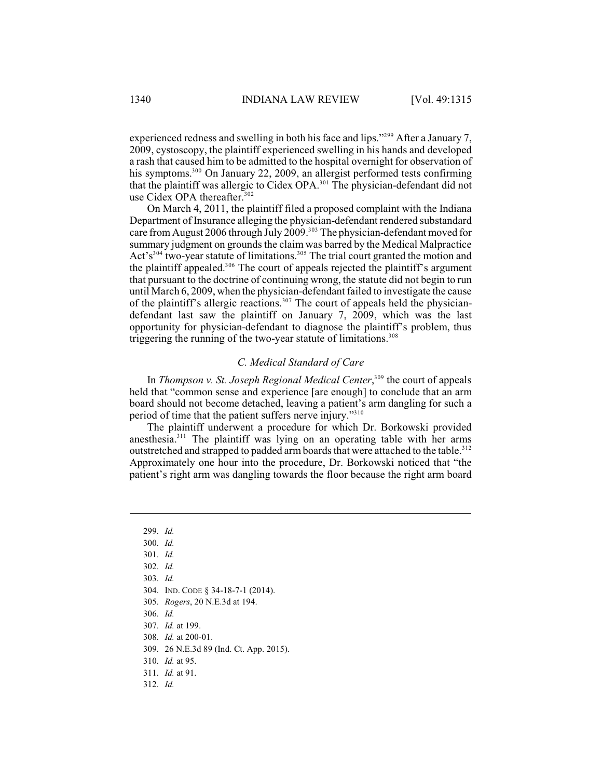experienced redness and swelling in both his face and lips."<sup>299</sup> After a January 7, 2009, cystoscopy, the plaintiff experienced swelling in his hands and developed a rash that caused him to be admitted to the hospital overnight for observation of his symptoms.<sup>300</sup> On January 22, 2009, an allergist performed tests confirming that the plaintiff was allergic to Cidex OPA.<sup>301</sup> The physician-defendant did not use Cidex OPA thereafter.<sup>302</sup>

On March 4, 2011, the plaintiff filed a proposed complaint with the Indiana Department of Insurance alleging the physician-defendant rendered substandard care from August 2006 through July 2009.<sup>303</sup> The physician-defendant moved for summary judgment on grounds the claim was barred by the Medical Malpractice Act's<sup>304</sup> two-year statute of limitations.<sup>305</sup> The trial court granted the motion and the plaintiff appealed.<sup>306</sup> The court of appeals rejected the plaintiff's argument that pursuant to the doctrine of continuing wrong, the statute did not begin to run until March 6, 2009, when the physician-defendant failed to investigate the cause of the plaintiff's allergic reactions.<sup>307</sup> The court of appeals held the physiciandefendant last saw the plaintiff on January 7, 2009, which was the last opportunity for physician-defendant to diagnose the plaintiff's problem, thus triggering the running of the two-year statute of limitations.<sup>308</sup>

# *C. Medical Standard of Care*

In *Thompson v. St. Joseph Regional Medical Center*,<sup>309</sup> the court of appeals held that "common sense and experience [are enough] to conclude that an arm board should not become detached, leaving a patient's arm dangling for such a period of time that the patient suffers nerve injury."<sup>310</sup>

The plaintiff underwent a procedure for which Dr. Borkowski provided anesthesia.<sup>311</sup> The plaintiff was lying on an operating table with her arms outstretched and strapped to padded arm boards that were attached to the table.<sup>312</sup> Approximately one hour into the procedure, Dr. Borkowski noticed that "the patient's right arm was dangling towards the floor because the right arm board

- 304. IND. CODE § 34-18-7-1 (2014).
- 305. *Rogers*, 20 N.E.3d at 194.
- 306. *Id.*
- 307. *Id.* at 199.

308. *Id.* at 200-01.

309. 26 N.E.3d 89 (Ind. Ct. App. 2015).

- 310. *Id.* at 95.
- 311. *Id.* at 91.
- 312. *Id.*

<sup>299.</sup> *Id.* 

<sup>300.</sup> *Id.*

<sup>301.</sup> *Id.*

<sup>302.</sup> *Id.* 

<sup>303.</sup> *Id.*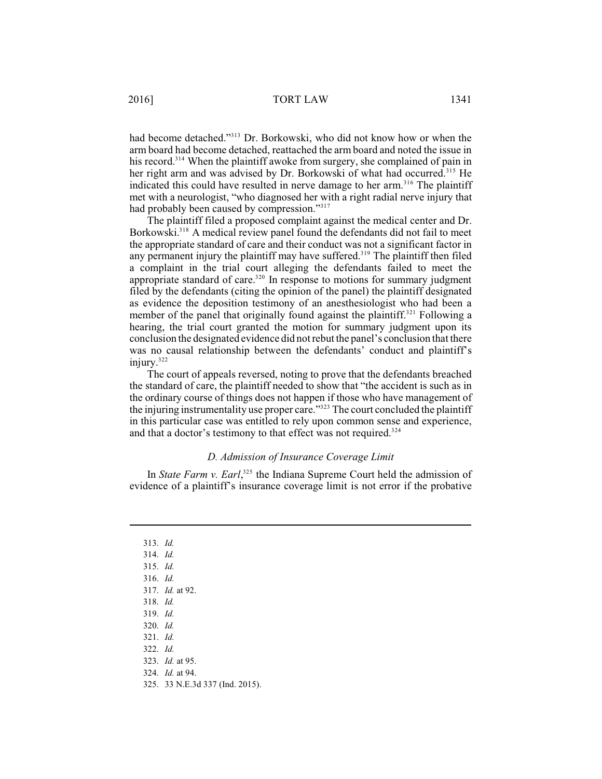had become detached."<sup>313</sup> Dr. Borkowski, who did not know how or when the arm board had become detached, reattached the arm board and noted the issue in his record.<sup>314</sup> When the plaintiff awoke from surgery, she complained of pain in her right arm and was advised by Dr. Borkowski of what had occurred.<sup>315</sup> He indicated this could have resulted in nerve damage to her arm.<sup>316</sup> The plaintiff met with a neurologist, "who diagnosed her with a right radial nerve injury that had probably been caused by compression."317

The plaintiff filed a proposed complaint against the medical center and Dr. Borkowski.<sup>318</sup> A medical review panel found the defendants did not fail to meet the appropriate standard of care and their conduct was not a significant factor in any permanent injury the plaintiff may have suffered.<sup>319</sup> The plaintiff then filed a complaint in the trial court alleging the defendants failed to meet the appropriate standard of care.<sup>320</sup> In response to motions for summary judgment filed by the defendants (citing the opinion of the panel) the plaintiff designated as evidence the deposition testimony of an anesthesiologist who had been a member of the panel that originally found against the plaintiff.<sup>321</sup> Following a hearing, the trial court granted the motion for summary judgment upon its conclusion the designated evidence did notrebut the panel's conclusion that there was no causal relationship between the defendants' conduct and plaintiff's injury.<sup>322</sup>

The court of appeals reversed, noting to prove that the defendants breached the standard of care, the plaintiff needed to show that "the accident is such as in the ordinary course of things does not happen if those who have management of the injuring instrumentality use proper care."<sup>323</sup> The court concluded the plaintiff in this particular case was entitled to rely upon common sense and experience, and that a doctor's testimony to that effect was not required.<sup>324</sup>

# *D. Admission of Insurance Coverage Limit*

In *State Farm v. Earl*,<sup>325</sup>, the Indiana Supreme Court held the admission of evidence of a plaintiff's insurance coverage limit is not error if the probative

313. *Id.* 314. *Id.* 315. *Id.* 316. *Id.* 317. *Id.* at 92. 318. *Id.* 319. *Id.* 320. *Id.* 321. *Id.* 322. *Id.* 323. *Id.* at 95. 324. *Id.* at 94.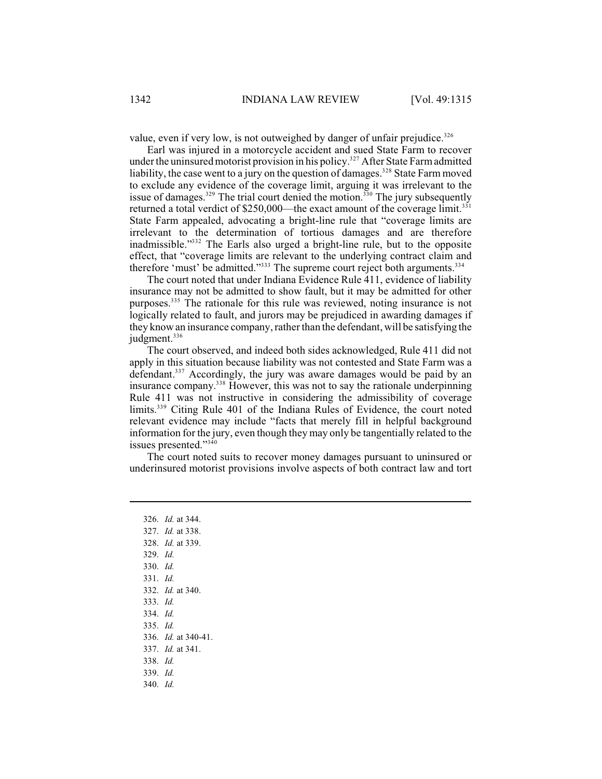value, even if very low, is not outweighed by danger of unfair prejudice.<sup>326</sup>

Earl was injured in a motorcycle accident and sued State Farm to recover under the uninsured motorist provision in his policy.<sup>327</sup> After State Farm admitted liability, the case went to a jury on the question of damages.<sup>328</sup> State Farm moved to exclude any evidence of the coverage limit, arguing it was irrelevant to the issue of damages.<sup>329</sup> The trial court denied the motion.<sup>330</sup> The jury subsequently returned a total verdict of \$250,000—the exact amount of the coverage limit.<sup>331</sup> State Farm appealed, advocating a bright-line rule that "coverage limits are irrelevant to the determination of tortious damages and are therefore inadmissible."<sup>332</sup> The Earls also urged a bright-line rule, but to the opposite effect, that "coverage limits are relevant to the underlying contract claim and therefore 'must' be admitted." $333$  The supreme court reject both arguments. $334$ 

The court noted that under Indiana Evidence Rule 411, evidence of liability insurance may not be admitted to show fault, but it may be admitted for other purposes.<sup>335</sup> The rationale for this rule was reviewed, noting insurance is not logically related to fault, and jurors may be prejudiced in awarding damages if they know an insurance company, rather than the defendant, will be satisfying the judgment. 336

The court observed, and indeed both sides acknowledged, Rule 411 did not apply in this situation because liability was not contested and State Farm was a defendant.<sup>337</sup> Accordingly, the jury was aware damages would be paid by an insurance company.<sup>338</sup> However, this was not to say the rationale underpinning Rule 411 was not instructive in considering the admissibility of coverage limits.<sup> $339$ </sup> Citing Rule 401 of the Indiana Rules of Evidence, the court noted relevant evidence may include "facts that merely fill in helpful background information for the jury, even though they may only be tangentially related to the issues presented."<sup>340</sup>

The court noted suits to recover money damages pursuant to uninsured or underinsured motorist provisions involve aspects of both contract law and tort

326. *Id.* at 344. 327. *Id.* at 338. 328. *Id.* at 339. 329. *Id.* 330. *Id.* 331. *Id.* 332. *Id.* at 340. 333. *Id.* 334. *Id.* 335. *Id.* 336. *Id.* at 340-41. 337. *Id.* at 341. 338. *Id.* 339. *Id.* 340. *Id.*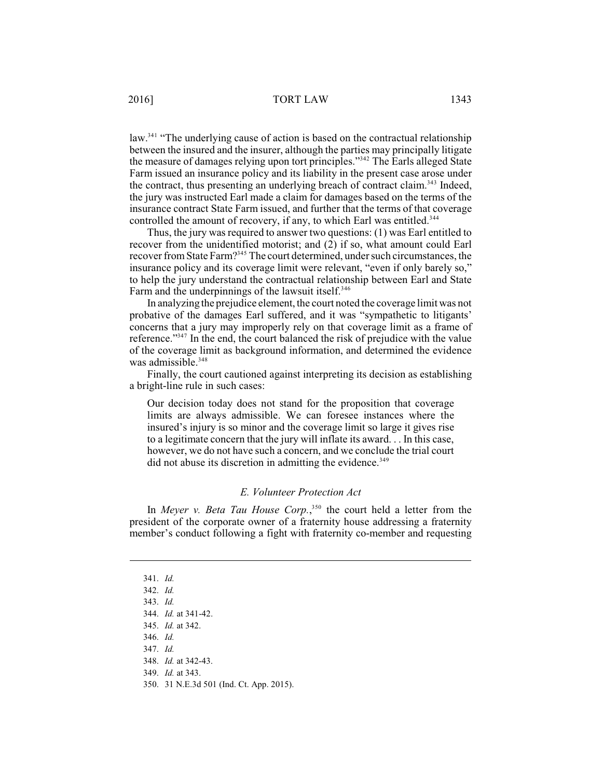law.<sup> $341$ </sup> "The underlying cause of action is based on the contractual relationship between the insured and the insurer, although the parties may principally litigate the measure of damages relying upon tort principles."<sup>342</sup> The Earls alleged State Farm issued an insurance policy and its liability in the present case arose under the contract, thus presenting an underlying breach of contract claim.<sup>343</sup> Indeed, the jury was instructed Earl made a claim for damages based on the terms of the insurance contract State Farm issued, and further that the terms of that coverage controlled the amount of recovery, if any, to which Earl was entitled.<sup>344</sup>

Thus, the jury was required to answer two questions: (1) was Earl entitled to recover from the unidentified motorist; and (2) if so, what amount could Earl recover from State Farm?<sup>345</sup> The court determined, under such circumstances, the insurance policy and its coverage limit were relevant, "even if only barely so," to help the jury understand the contractual relationship between Earl and State Farm and the underpinnings of the lawsuit itself.<sup>346</sup>

In analyzing the prejudice element, the court noted the coverage limit was not probative of the damages Earl suffered, and it was "sympathetic to litigants' concerns that a jury may improperly rely on that coverage limit as a frame of reference." $347$  In the end, the court balanced the risk of prejudice with the value of the coverage limit as background information, and determined the evidence was admissible. 348

Finally, the court cautioned against interpreting its decision as establishing a bright-line rule in such cases:

Our decision today does not stand for the proposition that coverage limits are always admissible. We can foresee instances where the insured's injury is so minor and the coverage limit so large it gives rise to a legitimate concern that the jury will inflate its award. . . In this case, however, we do not have such a concern, and we conclude the trial court  $\rm{did}$  not abuse its discretion in admitting the evidence.<sup>349</sup>

# *E. Volunteer Protection Act*

In *Meyer v. Beta Tau House Corp.*,<sup>350</sup> the court held a letter from the president of the corporate owner of a fraternity house addressing a fraternity member's conduct following a fight with fraternity co-member and requesting

<sup>341.</sup> *Id.*

<sup>342.</sup> *Id.*

<sup>343.</sup> *Id.*

<sup>344.</sup> *Id.* at 341-42.

<sup>345.</sup> *Id.* at 342.

<sup>346.</sup> *Id.*

<sup>347.</sup> *Id.*

<sup>348.</sup> *Id.* at 342-43.

<sup>349.</sup> *Id.* at 343.

<sup>350.</sup> 31 N.E.3d 501 (Ind. Ct. App. 2015).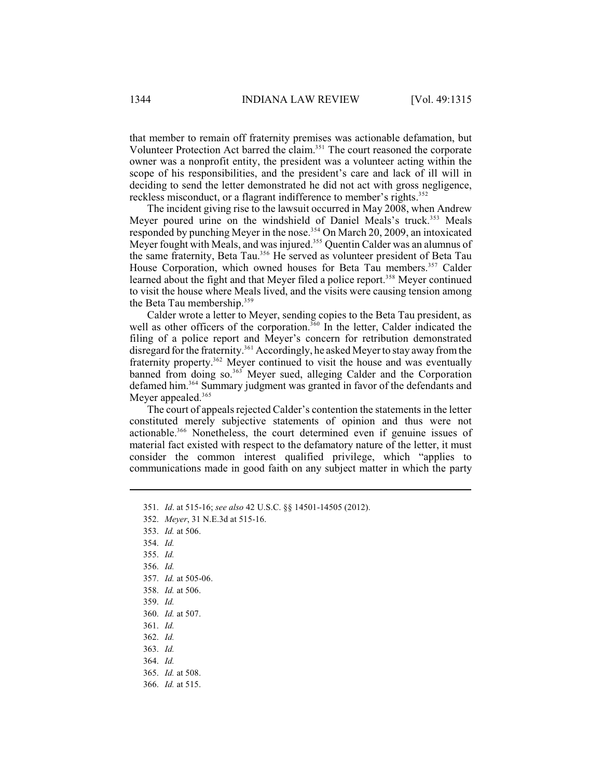that member to remain off fraternity premises was actionable defamation, but Volunteer Protection Act barred the claim.<sup>351</sup> The court reasoned the corporate owner was a nonprofit entity, the president was a volunteer acting within the scope of his responsibilities, and the president's care and lack of ill will in deciding to send the letter demonstrated he did not act with gross negligence, reckless misconduct, or a flagrant indifference to member's rights.<sup>352</sup>

The incident giving rise to the lawsuit occurred in May 2008, when Andrew Meyer poured urine on the windshield of Daniel Meals's truck.<sup>353</sup> Meals responded by punching Meyer in the nose.<sup>354</sup> On March 20, 2009, an intoxicated Meyer fought with Meals, and was injured.<sup>355</sup> Quentin Calder was an alumnus of the same fraternity, Beta Tau.<sup>356</sup> He served as volunteer president of Beta Tau House Corporation, which owned houses for Beta Tau members.<sup>357</sup> Calder learned about the fight and that Meyer filed a police report.<sup>358</sup> Meyer continued to visit the house where Meals lived, and the visits were causing tension among the Beta Tau membership.<sup>359</sup>

Calder wrote a letter to Meyer, sending copies to the Beta Tau president, as well as other officers of the corporation.<sup>360</sup> In the letter, Calder indicated the filing of a police report and Meyer's concern for retribution demonstrated disregard for the fraternity.<sup>361</sup> Accordingly, he asked Meyer to stay away from the fraternity property.<sup>362</sup> Meyer continued to visit the house and was eventually banned from doing so.  $363$  Meyer sued, alleging Calder and the Corporation defamed him.<sup>364</sup> Summary judgment was granted in favor of the defendants and Meyer appealed.<sup>365</sup>

The court of appeals rejected Calder's contention the statements in the letter constituted merely subjective statements of opinion and thus were not actionable.<sup>366</sup> Nonetheless, the court determined even if genuine issues of material fact existed with respect to the defamatory nature of the letter, it must consider the common interest qualified privilege, which "applies to communications made in good faith on any subject matter in which the party

353. *Id.* at 506.

<sup>351.</sup> *Id*. at 515-16; *see also* 42 U.S.C. §§ 14501-14505 (2012).

<sup>352.</sup> *Meyer*, 31 N.E.3d at 515-16.

<sup>354.</sup> *Id.*

<sup>355.</sup> *Id.*

<sup>356.</sup> *Id.*

<sup>357.</sup> *Id.* at 505-06.

<sup>358.</sup> *Id.* at 506.

<sup>359.</sup> *Id.*

<sup>360.</sup> *Id.* at 507.

<sup>361.</sup> *Id.*

<sup>362.</sup> *Id.*

<sup>363.</sup> *Id.*

<sup>364.</sup> *Id.*

<sup>365.</sup> *Id.* at 508.

<sup>366.</sup> *Id.* at 515.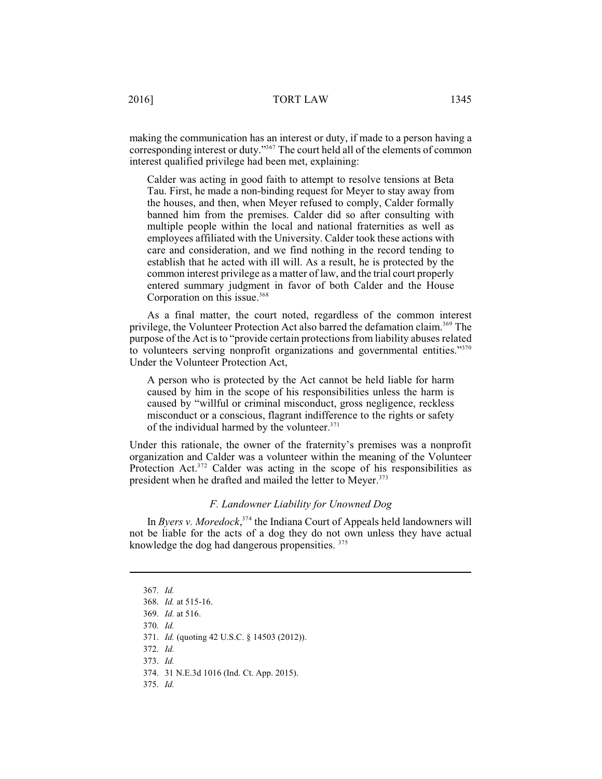making the communication has an interest or duty, if made to a person having a corresponding interest or duty."<sup>367</sup> The court held all of the elements of common interest qualified privilege had been met, explaining:

Calder was acting in good faith to attempt to resolve tensions at Beta Tau. First, he made a non-binding request for Meyer to stay away from the houses, and then, when Meyer refused to comply, Calder formally banned him from the premises. Calder did so after consulting with multiple people within the local and national fraternities as well as employees affiliated with the University. Calder took these actions with care and consideration, and we find nothing in the record tending to establish that he acted with ill will. As a result, he is protected by the common interest privilege as a matter of law, and the trial court properly entered summary judgment in favor of both Calder and the House Corporation on this issue. 368

As a final matter, the court noted, regardless of the common interest privilege, the Volunteer Protection Act also barred the defamation claim.<sup>369</sup> The purpose of the Act is to "provide certain protections from liability abuses related to volunteers serving nonprofit organizations and governmental entities."<sup>370</sup> Under the Volunteer Protection Act,

A person who is protected by the Act cannot be held liable for harm caused by him in the scope of his responsibilities unless the harm is caused by "willful or criminal misconduct, gross negligence, reckless misconduct or a conscious, flagrant indifference to the rights or safety of the individual harmed by the volunteer. 371

Under this rationale, the owner of the fraternity's premises was a nonprofit organization and Calder was a volunteer within the meaning of the Volunteer Protection Act. $372$  Calder was acting in the scope of his responsibilities as president when he drafted and mailed the letter to Meyer.<sup>373</sup>

### *F. Landowner Liability for Unowned Dog*

In *Byers v. Moredock*,<sup>374</sup> the Indiana Court of Appeals held landowners will not be liable for the acts of a dog they do not own unless they have actual knowledge the dog had dangerous propensities. <sup>375</sup>

370. *Id.*

371. *Id.* (quoting 42 U.S.C. § 14503 (2012)).

372. *Id.*

373. *Id.*

374. 31 N.E.3d 1016 (Ind. Ct. App. 2015).

375. *Id.*

<sup>367.</sup> *Id.*

<sup>368.</sup> *Id.* at 515-16.

<sup>369.</sup> *Id.* at 516.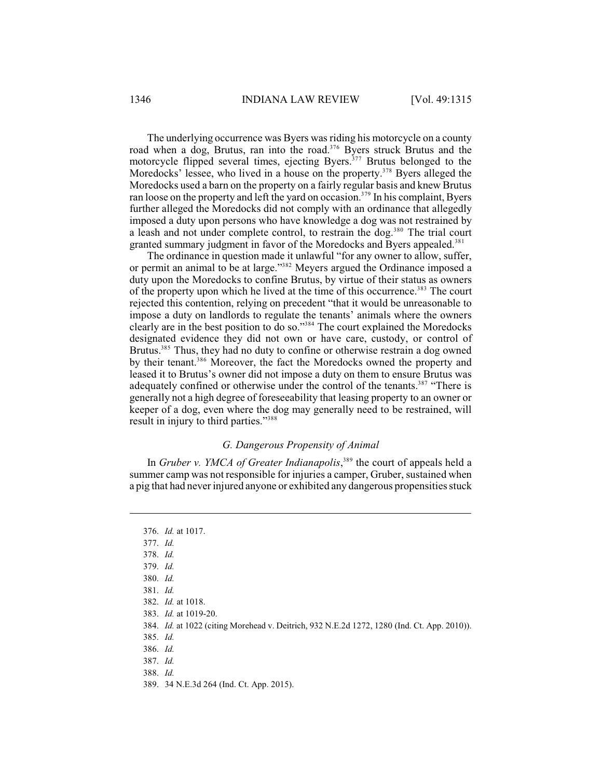The underlying occurrence was Byers was riding his motorcycle on a county road when a dog, Brutus, ran into the road.<sup>376</sup> Byers struck Brutus and the motorcycle flipped several times, ejecting Byers.<sup>377</sup> Brutus belonged to the Moredocks' lessee, who lived in a house on the property.  $378$  Byers alleged the Moredocks used a barn on the property on a fairly regular basis and knew Brutus ran loose on the property and left the yard on occasion.<sup>379</sup> In his complaint, Byers further alleged the Moredocks did not comply with an ordinance that allegedly imposed a duty upon persons who have knowledge a dog was not restrained by a leash and not under complete control, to restrain the dog.<sup>380</sup> The trial court granted summary judgment in favor of the Moredocks and Byers appealed.<sup>381</sup>

The ordinance in question made it unlawful "for any owner to allow, suffer, or permit an animal to be at large."<sup>382</sup> Meyers argued the Ordinance imposed a duty upon the Moredocks to confine Brutus, by virtue of their status as owners of the property upon which he lived at the time of this occurrence.<sup>383</sup> The court rejected this contention, relying on precedent "that it would be unreasonable to impose a duty on landlords to regulate the tenants' animals where the owners clearly are in the best position to do so."<sup>384</sup> The court explained the Moredocks designated evidence they did not own or have care, custody, or control of Brutus.<sup>385</sup> Thus, they had no duty to confine or otherwise restrain a dog owned by their tenant.<sup>386</sup> Moreover, the fact the Moredocks owned the property and leased it to Brutus's owner did not impose a duty on them to ensure Brutus was adequately confined or otherwise under the control of the tenants.<sup>387</sup> "There is generally not a high degree of foreseeability that leasing property to an owner or keeper of a dog, even where the dog may generally need to be restrained, will result in injury to third parties."<sup>388</sup>

## *G. Dangerous Propensity of Animal*

In *Gruber v. YMCA of Greater Indianapolis*,<sup>389</sup> the court of appeals held a summer camp was not responsible for injuries a camper, Gruber, sustained when a pig that had never injured anyone or exhibited any dangerous propensities stuck

<sup>376.</sup> *Id.* at 1017. 377. *Id.* 378. *Id.* 379. *Id.* 380. *Id.* 381. *Id.* 382. *Id.* at 1018. 383. *Id.* at 1019-20. 384. *Id.* at 1022 (citing Morehead v. Deitrich, 932 N.E.2d 1272, 1280 (Ind. Ct. App. 2010)). 385. *Id.* 386. *Id.* 387. *Id.* 388. *Id.* 389. 34 N.E.3d 264 (Ind. Ct. App. 2015).